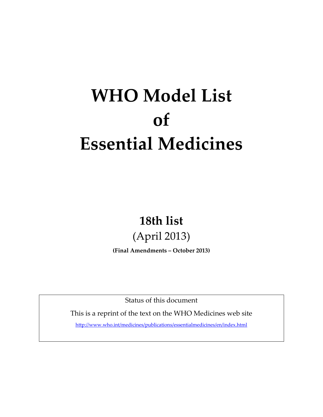# **WHO Model List of Essential Medicines**

## **18th list** (April 2013)

**(Final Amendments – October 2013)**

Status of this document

This is a reprint of the text on the WHO Medicines web site

http://www.who.int/medicines/publications/essentialmedicines/en/index.html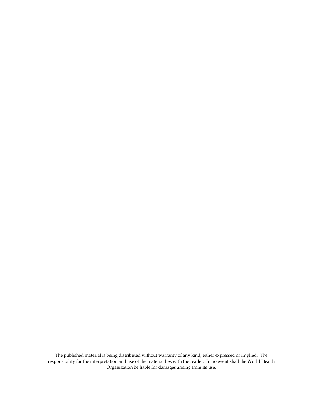The published material is being distributed without warranty of any kind, either expressed or implied. The responsibility for the interpretation and use of the material lies with the reader. In no event shall the World Health Organization be liable for damages arising from its use.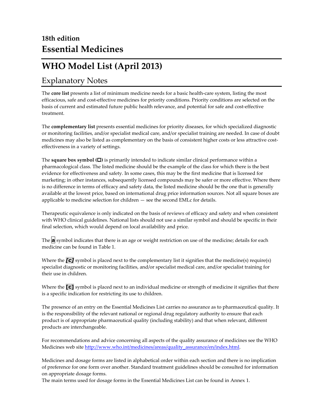## **WHO Model List (April 2013)**

## Explanatory Notes

The **core list** presents a list of minimum medicine needs for a basic health‐care system, listing the most efficacious, safe and cost‐effective medicines for priority conditions. Priority conditions are selected on the basis of current and estimated future public health relevance, and potential for safe and cost‐effective treatment.

The **complementary list** presents essential medicines for priority diseases, for which specialized diagnostic or monitoring facilities, and/or specialist medical care, and/or specialist training are needed. In case of doubt medicines may also be listed as complementary on the basis of consistent higher costs or less attractive costeffectiveness in a variety of settings.

The **square box symbol ()** is primarily intended to indicate similar clinical performance within a pharmacological class. The listed medicine should be the example of the class for which there is the best evidence for effectiveness and safety. In some cases, this may be the first medicine that is licensed for marketing; in other instances, subsequently licensed compounds may be safer or more effective. Where there is no difference in terms of efficacy and safety data, the listed medicine should be the one that is generally available at the lowest price, based on international drug price information sources. Not all square boxes are applicable to medicine selection for children — see the second EMLc for details.

Therapeutic equivalence is only indicated on the basis of reviews of efficacy and safety and when consistent with WHO clinical guidelines. National lists should not use a similar symbol and should be specific in their final selection, which would depend on local availability and price.

The **a** symbol indicates that there is an age or weight restriction on use of the medicine; details for each medicine can be found in Table 1.

Where the **[c]** symbol is placed next to the complementary list it signifies that the medicine(s) require(s) specialist diagnostic or monitoring facilities, and/or specialist medical care, and/or specialist training for their use in children.

Where the **[c]** symbol is placed next to an individual medicine or strength of medicine it signifies that there is a specific indication for restricting its use to children.

The presence of an entry on the Essential Medicines List carries no assurance as to pharmaceutical quality. It is the responsibility of the relevant national or regional drug regulatory authority to ensure that each product is of appropriate pharmaceutical quality (including stability) and that when relevant, different products are interchangeable.

For recommendations and advice concerning all aspects of the quality assurance of medicines see the WHO Medicines web site http://www.who.int/medicines/areas/quality\_assurance/en/index.html.

Medicines and dosage forms are listed in alphabetical order within each section and there is no implication of preference for one form over another. Standard treatment guidelines should be consulted for information on appropriate dosage forms.

The main terms used for dosage forms in the Essential Medicines List can be found in Annex 1.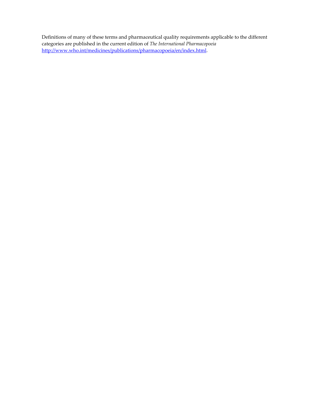Definitions of many of these terms and pharmaceutical quality requirements applicable to the different categories are published in the current edition of *The International Pharmacopoeia* http://www.who.int/medicines/publications/pharmacopoeia/en/index.html.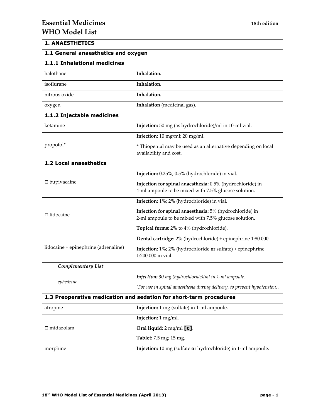| <b>1. ANAESTHETICS</b>                                             |                                                                                                                   |  |
|--------------------------------------------------------------------|-------------------------------------------------------------------------------------------------------------------|--|
| 1.1 General anaesthetics and oxygen                                |                                                                                                                   |  |
| 1.1.1 Inhalational medicines                                       |                                                                                                                   |  |
| halothane                                                          | Inhalation.                                                                                                       |  |
| isoflurane                                                         | Inhalation.                                                                                                       |  |
| nitrous oxide                                                      | Inhalation.                                                                                                       |  |
| oxygen                                                             | Inhalation (medicinal gas).                                                                                       |  |
| 1.1.2 Injectable medicines                                         |                                                                                                                   |  |
| ketamine                                                           | Injection: 50 mg (as hydrochloride)/ml in 10-ml vial.                                                             |  |
|                                                                    | Injection: 10 mg/ml; 20 mg/ml.                                                                                    |  |
| propofol*                                                          | * Thiopental may be used as an alternative depending on local<br>availability and cost.                           |  |
| 1.2 Local anaesthetics                                             |                                                                                                                   |  |
|                                                                    | Injection: 0.25%; 0.5% (hydrochloride) in vial.                                                                   |  |
| $\square$ bupivacaine                                              | Injection for spinal anaesthesia: 0.5% (hydrochloride) in<br>4-ml ampoule to be mixed with 7.5% glucose solution. |  |
|                                                                    | Injection: 1%; 2% (hydrochloride) in vial.                                                                        |  |
| $\Box$ lidocaine                                                   | Injection for spinal anaesthesia: 5% (hydrochloride) in<br>2-ml ampoule to be mixed with 7.5% glucose solution.   |  |
|                                                                    | Topical forms: 2% to 4% (hydrochloride).                                                                          |  |
|                                                                    | Dental cartridge: 2% (hydrochloride) + epinephrine 1:80 000.                                                      |  |
| lidocaine + epinephrine (adrenaline)                               | Injection: 1%; 2% (hydrochloride or sulfate) + epinephrine<br>1:200 000 in vial.                                  |  |
| <b>Complementary List</b>                                          |                                                                                                                   |  |
| ephedrine                                                          | Injection: 30 mg (hydrochloride)/ml in 1-ml ampoule.                                                              |  |
|                                                                    | (For use in spinal anaesthesia during delivery, to prevent hypotension).                                          |  |
| 1.3 Preoperative medication and sedation for short-term procedures |                                                                                                                   |  |
| atropine                                                           | Injection: 1 mg (sulfate) in 1-ml ampoule.                                                                        |  |
|                                                                    | Injection: 1 mg/ml.                                                                                               |  |
| $\square$ midazolam                                                | Oral liquid: 2 mg/ml [c].                                                                                         |  |
|                                                                    | Tablet: 7.5 mg; 15 mg.                                                                                            |  |
| morphine                                                           | Injection: 10 mg (sulfate or hydrochloride) in 1-ml ampoule.                                                      |  |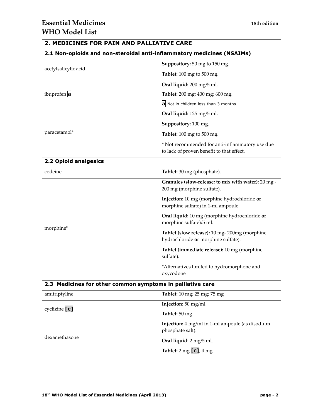| 2. MEDICINES FOR PAIN AND PALLIATIVE CARE                              |                                                                                              |  |
|------------------------------------------------------------------------|----------------------------------------------------------------------------------------------|--|
| 2.1 Non-opioids and non-steroidal anti-inflammatory medicines (NSAIMs) |                                                                                              |  |
| acetylsalicylic acid                                                   | Suppository: 50 mg to 150 mg.                                                                |  |
|                                                                        | Tablet: 100 mg to 500 mg.                                                                    |  |
|                                                                        | Oral liquid: 200 mg/5 ml.                                                                    |  |
| ibuprofen a                                                            | Tablet: 200 mg; 400 mg; 600 mg.                                                              |  |
|                                                                        | a Not in children less than 3 months.                                                        |  |
|                                                                        | Oral liquid: 125 mg/5 ml.                                                                    |  |
|                                                                        | Suppository: 100 mg.                                                                         |  |
| paracetamol*                                                           | Tablet: 100 mg to 500 mg.                                                                    |  |
|                                                                        | * Not recommended for anti-inflammatory use due<br>to lack of proven benefit to that effect. |  |
| 2.2 Opioid analgesics                                                  |                                                                                              |  |
| codeine                                                                | Tablet: 30 mg (phosphate).                                                                   |  |
|                                                                        | Granules (slow-release; to mix with water): 20 mg -<br>200 mg (morphine sulfate).            |  |
|                                                                        | Injection: 10 mg (morphine hydrochloride or<br>morphine sulfate) in 1-ml ampoule.            |  |
|                                                                        | Oral liquid: 10 mg (morphine hydrochloride or<br>morphine sulfate)/5 ml.                     |  |
| morphine*                                                              | Tablet (slow release): 10 mg-200mg (morphine<br>hydrochloride or morphine sulfate).          |  |
|                                                                        | Tablet (immediate release): 10 mg (morphine<br>sulfate).                                     |  |
|                                                                        | *Alternatives limited to hydromorphone and<br>oxycodone                                      |  |
| 2.3 Medicines for other common symptoms in palliative care             |                                                                                              |  |
| amitriptyline                                                          | Tablet: 10 mg; 25 mg; 75 mg                                                                  |  |
| cyclizine [c]                                                          | Injection: 50 mg/ml.                                                                         |  |
|                                                                        | Tablet: 50 mg.                                                                               |  |
| dexamethasone                                                          | <b>Injection:</b> 4 mg/ml in 1-ml ampoule (as disodium<br>phosphate salt).                   |  |
|                                                                        | Oral liquid: 2 mg/5 ml.                                                                      |  |
|                                                                        | Tablet: $2 \text{ mg}$ [c]; $4 \text{ mg}$ .                                                 |  |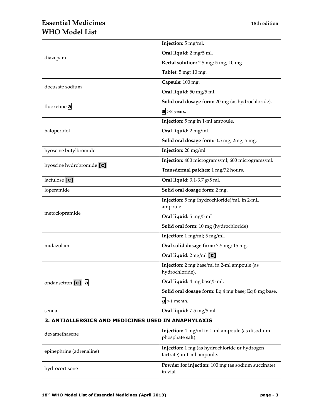| diazepam                                           | Injection: 5 mg/ml.                                                         |
|----------------------------------------------------|-----------------------------------------------------------------------------|
|                                                    | Oral liquid: 2 mg/5 ml.                                                     |
|                                                    | Rectal solution: 2.5 mg; 5 mg; 10 mg.                                       |
|                                                    | Tablet: 5 mg; 10 mg.                                                        |
| docusate sodium                                    | Capsule: 100 mg.                                                            |
|                                                    | Oral liquid: 50 mg/5 ml.                                                    |
| fluoxetine a                                       | Solid oral dosage form: 20 mg (as hydrochloride).                           |
|                                                    | $a$ >8 years.                                                               |
|                                                    | Injection: 5 mg in 1-ml ampoule.                                            |
| haloperidol                                        | Oral liquid: 2 mg/ml.                                                       |
|                                                    | Solid oral dosage form: 0.5 mg; 2mg; 5 mg.                                  |
| hyoscine butylbromide                              | Injection: 20 mg/ml.                                                        |
| hyoscine hydrobromide [c]                          | Injection: 400 micrograms/ml; 600 micrograms/ml.                            |
|                                                    | Transdermal patches: 1 mg/72 hours.                                         |
| lactulose $[c]$                                    | Oral liquid: 3.1-3.7 g/5 ml.                                                |
| loperamide                                         | Solid oral dosage form: 2 mg.                                               |
|                                                    | Injection: 5 mg (hydrochloride)/mL in 2-mL<br>ampoule.                      |
| metoclopramide                                     | Oral liquid: 5 mg/5 mL                                                      |
|                                                    | Solid oral form: 10 mg (hydrochloride)                                      |
|                                                    | Injection: 1 mg/ml; 5 mg/ml.                                                |
| midazolam                                          | Oral solid dosage form: 7.5 mg; 15 mg.                                      |
|                                                    | Oral liquid: 2mg/ml [c]                                                     |
| ondansetron [c] a                                  | Injection: 2 mg base/ml in 2-ml ampoule (as<br>hydrochloride).              |
|                                                    | Oral liquid: 4 mg base/5 ml.                                                |
|                                                    | Solid oral dosage form: Eq 4 mg base; Eq 8 mg base.                         |
|                                                    | $a$ >1 month.                                                               |
| senna                                              | Oral liquid: 7.5 mg/5 ml.                                                   |
| 3. ANTIALLERGICS AND MEDICINES USED IN ANAPHYLAXIS |                                                                             |
| dexamethasone                                      | Injection: 4 mg/ml in 1-ml ampoule (as disodium<br>phosphate salt).         |
| epinephrine (adrenaline)                           | Injection: 1 mg (as hydrochloride or hydrogen<br>tartrate) in 1-ml ampoule. |
| hydrocortisone                                     | Powder for injection: 100 mg (as sodium succinate)<br>in vial.              |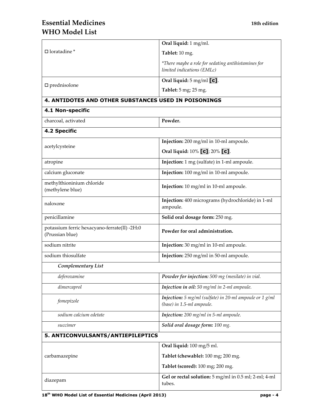|                                                                 | Oral liquid: 1 mg/ml.                                                                |  |
|-----------------------------------------------------------------|--------------------------------------------------------------------------------------|--|
| $\square$ loratadine *                                          | Tablet: 10 mg.                                                                       |  |
|                                                                 | *There maybe a role for sedating antihistamines for<br>limited indications (EMLc)    |  |
|                                                                 | Oral liquid: 5 mg/ml [c].                                                            |  |
| $\square$ prednisolone                                          | Tablet: 5 mg; 25 mg.                                                                 |  |
| 4. ANTIDOTES AND OTHER SUBSTANCES USED IN POISONINGS            |                                                                                      |  |
| 4.1 Non-specific                                                |                                                                                      |  |
| charcoal, activated                                             | Powder.                                                                              |  |
| <b>4.2 Specific</b>                                             |                                                                                      |  |
|                                                                 | Injection: 200 mg/ml in 10-ml ampoule.                                               |  |
| acetylcysteine                                                  | Oral liquid: 10% [c]; 20% [c].                                                       |  |
| atropine                                                        | Injection: 1 mg (sulfate) in 1-ml ampoule.                                           |  |
| calcium gluconate                                               | Injection: 100 mg/ml in 10-ml ampoule.                                               |  |
| methylthioninium chloride<br>(methylene blue)                   | Injection: 10 mg/ml in 10-ml ampoule.                                                |  |
| naloxone                                                        | Injection: 400 micrograms (hydrochloride) in 1-ml<br>ampoule.                        |  |
| penicillamine                                                   | Solid oral dosage form: 250 mg.                                                      |  |
| potassium ferric hexacyano-ferrate(II) -2H20<br>(Prussian blue) | Powder for oral administration.                                                      |  |
| sodium nitrite                                                  | Injection: 30 mg/ml in 10-ml ampoule.                                                |  |
| sodium thiosulfate                                              | Injection: 250 mg/ml in 50-ml ampoule.                                               |  |
| Complementary List                                              |                                                                                      |  |
| deferoxamine                                                    | Powder for injection: 500 mg (mesilate) in vial.                                     |  |
| dimercaprol                                                     | Injection in oil: 50 mg/ml in 2-ml ampoule.                                          |  |
| fomepizole                                                      | Injection: 5 mg/ml (sulfate) in 20-ml ampoule or 1 g/ml<br>(base) in 1.5-ml ampoule. |  |
| sodium calcium edetate                                          | Injection: 200 mg/ml in 5-ml ampoule.                                                |  |
| succimer                                                        | Solid oral dosage form: 100 mg.                                                      |  |
| 5. ANTICONVULSANTS/ANTIEPILEPTICS                               |                                                                                      |  |
|                                                                 | Oral liquid: 100 mg/5 ml.                                                            |  |
| carbamazepine                                                   | Tablet (chewable): 100 mg; 200 mg.                                                   |  |
|                                                                 | Tablet (scored): 100 mg; 200 mg.                                                     |  |
| diazepam                                                        | Gel or rectal solution: 5 mg/ml in 0.5 ml; 2-ml; 4-ml<br>tubes.                      |  |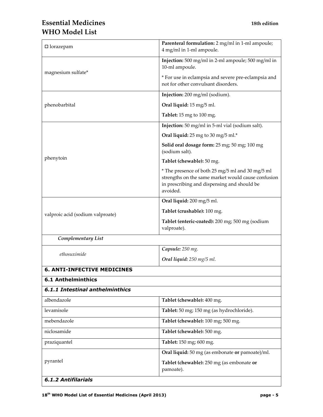| $\Box$ lorazepam                   | Parenteral formulation: 2 mg/ml in 1-ml ampoule;<br>4 mg/ml in 1-ml ampoule.                                                                                      |  |
|------------------------------------|-------------------------------------------------------------------------------------------------------------------------------------------------------------------|--|
| magnesium sulfate*                 | Injection: 500 mg/ml in 2-ml ampoule; 500 mg/ml in<br>10-ml ampoule.                                                                                              |  |
|                                    | * For use in eclampsia and severe pre-eclampsia and<br>not for other convulsant disorders.                                                                        |  |
| phenobarbital                      | Injection: 200 mg/ml (sodium).                                                                                                                                    |  |
|                                    | Oral liquid: 15 mg/5 ml.                                                                                                                                          |  |
|                                    | Tablet: 15 mg to 100 mg.                                                                                                                                          |  |
|                                    | Injection: 50 mg/ml in 5-ml vial (sodium salt).                                                                                                                   |  |
|                                    | Oral liquid: 25 mg to 30 mg/5 ml.*                                                                                                                                |  |
|                                    | Solid oral dosage form: 25 mg; 50 mg; 100 mg<br>(sodium salt).                                                                                                    |  |
| phenytoin                          | Tablet (chewable): 50 mg.                                                                                                                                         |  |
|                                    | * The presence of both 25 mg/5 ml and 30 mg/5 ml<br>strengths on the same market would cause confusion<br>in prescribing and dispensing and should be<br>avoided. |  |
|                                    | Oral liquid: 200 mg/5 ml.                                                                                                                                         |  |
| valproic acid (sodium valproate)   | Tablet (crushable): 100 mg.                                                                                                                                       |  |
|                                    | Tablet (enteric-coated): 200 mg; 500 mg (sodium<br>valproate).                                                                                                    |  |
| Complementary List                 |                                                                                                                                                                   |  |
|                                    | Capsule: 250 mg.                                                                                                                                                  |  |
| ethosuximide                       | Oral liquid: 250 mg/5 ml.                                                                                                                                         |  |
| <b>6. ANTI-INFECTIVE MEDICINES</b> |                                                                                                                                                                   |  |
| <b>6.1 Anthelminthics</b>          |                                                                                                                                                                   |  |
| 6.1.1 Intestinal anthelminthics    |                                                                                                                                                                   |  |
| albendazole                        | Tablet (chewable): 400 mg.                                                                                                                                        |  |
| levamisole                         | Tablet: 50 mg; 150 mg (as hydrochloride).                                                                                                                         |  |
| mebendazole                        | Tablet (chewable): 100 mg; 500 mg.                                                                                                                                |  |
| niclosamide                        | Tablet (chewable): 500 mg.                                                                                                                                        |  |
| praziquantel                       | Tablet: 150 mg; 600 mg.                                                                                                                                           |  |
|                                    | Oral liquid: 50 mg (as embonate or pamoate)/ml.                                                                                                                   |  |
| pyrantel                           | Tablet (chewable): 250 mg (as embonate or<br>pamoate).                                                                                                            |  |
| <b>6.1.2 Antifilarials</b>         |                                                                                                                                                                   |  |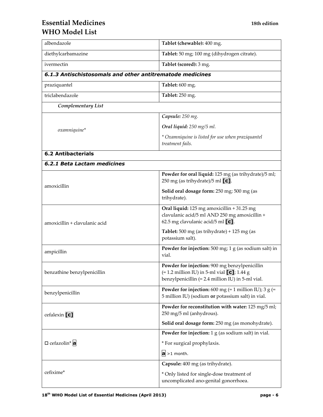| albendazole                                               | Tablet (chewable): 400 mg.                                                                                                                                     |
|-----------------------------------------------------------|----------------------------------------------------------------------------------------------------------------------------------------------------------------|
| diethylcarbamazine                                        | Tablet: 50 mg; 100 mg (dihydrogen citrate).                                                                                                                    |
| ivermectin                                                | Tablet (scored): 3 mg.                                                                                                                                         |
| 6.1.3 Antischistosomals and other antitrematode medicines |                                                                                                                                                                |
| praziquantel                                              | Tablet: 600 mg.                                                                                                                                                |
| triclabendazole                                           | Tablet: 250 mg.                                                                                                                                                |
| Complementary List                                        |                                                                                                                                                                |
|                                                           | Capsule: 250 mg.                                                                                                                                               |
| $oxanniquine*$                                            | Oral liquid: 250 mg/5 ml.                                                                                                                                      |
|                                                           | * Oxamniquine is listed for use when praziquantel<br>treatment fails.                                                                                          |
| <b>6.2 Antibacterials</b>                                 |                                                                                                                                                                |
| 6.2.1 Beta Lactam medicines                               |                                                                                                                                                                |
| amoxicillin                                               | Powder for oral liquid: 125 mg (as trihydrate)/5 ml;<br>250 mg (as trihydrate)/5 ml $\text{[c]}$ .                                                             |
|                                                           | Solid oral dosage form: 250 mg; 500 mg (as<br>trihydrate).                                                                                                     |
| amoxicillin + clavulanic acid                             | Oral liquid: 125 mg amoxicillin + 31.25 mg<br>clavulanic acid/5 ml AND 250 mg amoxicillin +<br>62.5 mg clavulanic acid/5 ml [c].                               |
|                                                           | Tablet: $500 \text{ mg}$ (as trihydrate) + $125 \text{ mg}$ (as<br>potassium salt).                                                                            |
| ampicillin                                                | Powder for injection: 500 mg; 1 g (as sodium salt) in<br>vial.                                                                                                 |
| benzathine benzylpenicillin                               | Powder for injection: 900 mg benzylpenicillin<br>$(= 1.2 \text{ million IU})$ in 5-ml vial $[c]$ ; 1.44 g<br>benzylpenicillin (= 2.4 million IU) in 5-ml vial. |
| benzylpenicillin                                          | Powder for injection: 600 mg (= 1 million IU); 3 g (=<br>5 million IU) (sodium or potassium salt) in vial.                                                     |
| cefalexin $[c]$                                           | Powder for reconstitution with water: 125 mg/5 ml;<br>250 mg/5 ml (anhydrous).                                                                                 |
|                                                           | Solid oral dosage form: 250 mg (as monohydrate).                                                                                                               |
|                                                           | Powder for injection: $1 g$ (as sodium salt) in vial.                                                                                                          |
| $\square$ cefazolin* a                                    | * For surgical prophylaxis.                                                                                                                                    |
|                                                           | $a > 1$ month.                                                                                                                                                 |
|                                                           | Capsule: 400 mg (as trihydrate).                                                                                                                               |
| cefixime*                                                 | * Only listed for single-dose treatment of<br>uncomplicated ano-genital gonorrhoea.                                                                            |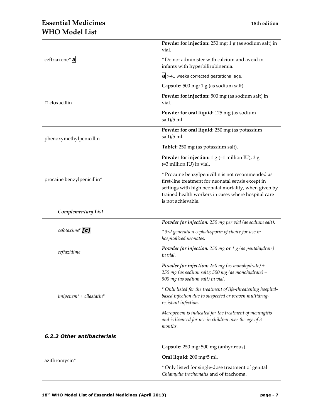|                             | Powder for injection: 250 mg; 1 g (as sodium salt) in<br>vial.                                                                                                                                                                               |
|-----------------------------|----------------------------------------------------------------------------------------------------------------------------------------------------------------------------------------------------------------------------------------------|
| ceftriaxone* a              | * Do not administer with calcium and avoid in<br>infants with hyperbilirubinemia.                                                                                                                                                            |
|                             | $a$ >41 weeks corrected gestational age.                                                                                                                                                                                                     |
|                             | Capsule: 500 mg; 1 g (as sodium salt).                                                                                                                                                                                                       |
| $\Box$ cloxacillin          | Powder for injection: 500 mg (as sodium salt) in<br>vial.                                                                                                                                                                                    |
|                             | Powder for oral liquid: 125 mg (as sodium<br>salt)/5 ml.                                                                                                                                                                                     |
| phenoxymethylpenicillin     | Powder for oral liquid: 250 mg (as potassium<br>salt)/5 ml.                                                                                                                                                                                  |
|                             | Tablet: 250 mg (as potassium salt).                                                                                                                                                                                                          |
| procaine benzylpenicillin*  | Powder for injection: 1 $g$ (=1 million IU); 3 $g$<br>(=3 million IU) in vial.                                                                                                                                                               |
|                             | * Procaine benzylpenicillin is not recommended as<br>first-line treatment for neonatal sepsis except in<br>settings with high neonatal mortality, when given by<br>trained health workers in cases where hospital care<br>is not achievable. |
| Complementary List          |                                                                                                                                                                                                                                              |
|                             | Powder for injection: 250 mg per vial (as sodium salt).                                                                                                                                                                                      |
| cefotaxime* $[c]$           | * 3rd generation cephalosporin of choice for use in<br>hospitalized neonates.                                                                                                                                                                |
| ceftazidime                 | <b>Powder for injection:</b> 250 mg or $1$ g (as pentahydrate)<br>in vial.                                                                                                                                                                   |
| $imipenem^* + cilastatin^*$ | Powder for injection: $250$ mg (as monohydrate) +<br>250 mg (as sodium salt); 500 mg (as monohydrate) +<br>500 mg (as sodium salt) in vial.                                                                                                  |
|                             | * Only listed for the treatment of life-threatening hospital-<br>based infection due to suspected or proven multidrug-<br>resistant infection.                                                                                               |
|                             | Meropenem is indicated for the treatment of meningitis<br>and is licensed for use in children over the age of 3<br>months.                                                                                                                   |
| 6.2.2 Other antibacterials  |                                                                                                                                                                                                                                              |
|                             | Capsule: 250 mg; 500 mg (anhydrous).                                                                                                                                                                                                         |
| azithromycin*               | Oral liquid: 200 mg/5 ml.                                                                                                                                                                                                                    |
|                             | * Only listed for single-dose treatment of genital<br>Chlamydia trachomatis and of trachoma.                                                                                                                                                 |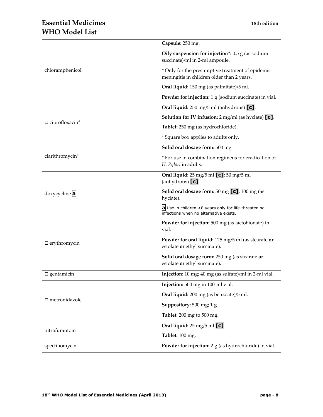|                          | Capsule: 250 mg.                                                                                       |
|--------------------------|--------------------------------------------------------------------------------------------------------|
| chloramphenicol          | Oily suspension for injection <sup>*</sup> : $0.5$ g (as sodium<br>succinate)/ml in 2-ml ampoule.      |
|                          | * Only for the presumptive treatment of epidemic<br>meningitis in children older than 2 years.         |
|                          | Oral liquid: 150 mg (as palmitate)/5 ml.                                                               |
|                          | Powder for injection: $1 g$ (sodium succinate) in vial.                                                |
|                          | Oral liquid: 250 mg/5 ml (anhydrous) [c].                                                              |
| $\square$ ciprofloxacin* | <b>Solution for IV infusion:</b> $2 \text{ mg/ml}$ (as hyclate) $[c]$ .                                |
|                          | Tablet: 250 mg (as hydrochloride).                                                                     |
|                          | * Square box applies to adults only.                                                                   |
|                          | Solid oral dosage form: 500 mg.                                                                        |
| clarithromycin*          | * For use in combination regimens for eradication of<br>H. Pylori in adults.                           |
|                          | Oral liquid: 25 mg/5 ml [c]; 50 mg/5 ml<br>(anhydrous) [c].                                            |
| doxycycline a            | Solid oral dosage form: 50 mg [c]; 100 mg (as<br>hyclate).                                             |
|                          | $\vert$ a Use in children <8 years only for life-threatening<br>infections when no alternative exists. |
|                          | Powder for injection: 500 mg (as lactobionate) in<br>vial.                                             |
| $\Box$ erythromycin      | Powder for oral liquid: 125 mg/5 ml (as stearate or<br>estolate or ethyl succinate).                   |
|                          | Solid oral dosage form: 250 mg (as stearate or<br>estolate or ethyl succinate).                        |
| $\square$ gentamicin     | Injection: 10 mg; 40 mg (as sulfate)/ml in 2-ml vial.                                                  |
|                          | Injection: 500 mg in 100-ml vial.                                                                      |
|                          | Oral liquid: 200 mg (as benzoate)/5 ml.                                                                |
| $\Box$ metronidazole     | Suppository: 500 mg; 1 g.                                                                              |
|                          | Tablet: 200 mg to 500 mg.                                                                              |
|                          | Oral liquid: 25 mg/5 ml [c].                                                                           |
| nitrofurantoin           | Tablet: 100 mg.                                                                                        |
| spectinomycin            | Powder for injection: $2 g$ (as hydrochloride) in vial.                                                |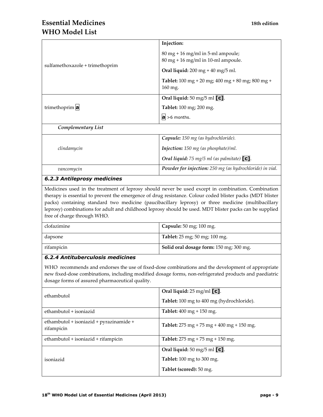| sulfamethoxazole + trimethoprim    | Injection:                                                      |
|------------------------------------|-----------------------------------------------------------------|
|                                    | $80 \text{ mg} + 16 \text{ mg/ml}$ in 5-ml ampoule;             |
|                                    | $80 \text{ mg} + 16 \text{ mg/ml}$ in 10-ml ampoule.            |
|                                    | Oral liquid: $200 \text{ mg} + 40 \text{ mg}/5 \text{ ml}$ .    |
|                                    | Tablet: 100 mg + 20 mg; 400 mg + 80 mg; 800 mg +                |
|                                    | 160 mg.                                                         |
| trimethoprim a                     | Oral liquid: $50 \text{ mg}/5 \text{ ml}$ [c].                  |
|                                    | Tablet: 100 mg; 200 mg.                                         |
|                                    | $a > 6$ months.                                                 |
| Complementary List                 |                                                                 |
|                                    | Capsule: 150 mg (as hydrochloride).                             |
| clindamycin                        | <b>Injection:</b> 150 mg (as phosphate)/ml.                     |
|                                    | Oral liquid: 75 mg/5 ml (as palmitate) $[c]$ .                  |
| vancomycin                         | <b>Powder for injection:</b> 250 mg (as hydrochloride) in vial. |
| <b>6.2.3 Antileprosy medicines</b> |                                                                 |

Medicines used in the treatment of leprosy should never be used except in combination. Combination therapy is essential to prevent the emergence of drug resistance. Colour coded blister packs (MDT blister packs) containing standard two medicine (paucibacillary leprosy) or three medicine (multibacillary leprosy) combinations for adult and childhood leprosy should be used. MDT blister packs can be supplied free of charge through WHO.

| clofazimine | Capsule: 50 mg; 100 mg.                 |
|-------------|-----------------------------------------|
| dapsone     | <b>Tablet:</b> 25 mg; 50 mg; 100 mg.    |
| rifampicin  | Solid oral dosage form: 150 mg; 300 mg. |

#### *6.2.4 Antituberculosis medicines*

WHO recommends and endorses the use of fixed-dose combinations and the development of appropriate new fixed‐dose combinations, including modified dosage forms, non‐refrigerated products and paediatric dosage forms of assured pharmaceutical quality.

| ethambutol                                            | Oral liquid: 25 mg/ml [c].<br>Tablet: 100 mg to 400 mg (hydrochloride).      |
|-------------------------------------------------------|------------------------------------------------------------------------------|
| ethambutol + isoniazid                                | Tablet: 400 mg + 150 mg.                                                     |
| ethambutol + isoniazid + pyrazinamide +<br>rifampicin | Tablet: $275 \text{ mg} + 75 \text{ mg} + 400 \text{ mg} + 150 \text{ mg}$ . |
| ethambutol + isoniazid + rifampicin                   | Tablet: $275$ mg + $75$ mg + $150$ mg.                                       |
| isoniazid                                             | Oral liquid: 50 mg/5 ml [c].<br>Tablet: 100 mg to 300 mg.                    |
|                                                       | Tablet (scored): 50 mg.                                                      |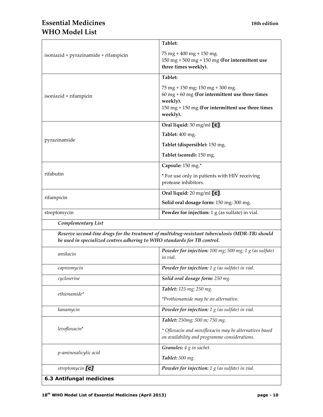|                                                                                                                                                                             | Tablet:                                                                                                                                                                                |  |  |
|-----------------------------------------------------------------------------------------------------------------------------------------------------------------------------|----------------------------------------------------------------------------------------------------------------------------------------------------------------------------------------|--|--|
| isoniazid + pyrazinamide + rifampicin                                                                                                                                       | $75$ mg + 400 mg + 150 mg.<br>150 mg + 500 mg + 150 mg (For intermittent use<br>three times weekly).                                                                                   |  |  |
|                                                                                                                                                                             | Tablet:                                                                                                                                                                                |  |  |
| isoniazid + rifampicin                                                                                                                                                      | 75 mg + 150 mg; 150 mg + 300 mg.<br>$60 \text{ mg} + 60 \text{ mg}$ (For intermittent use three times<br>weekly).<br>$150$ mg + $150$ mg (For intermittent use three times<br>weekly). |  |  |
|                                                                                                                                                                             | Oral liquid: 30 mg/ml [c].                                                                                                                                                             |  |  |
|                                                                                                                                                                             | Tablet: 400 mg.                                                                                                                                                                        |  |  |
| pyrazinamide                                                                                                                                                                | Tablet (dispersible): 150 mg.                                                                                                                                                          |  |  |
|                                                                                                                                                                             | Tablet (scored): 150 mg.                                                                                                                                                               |  |  |
|                                                                                                                                                                             | Capsule: 150 mg.*                                                                                                                                                                      |  |  |
| rifabutin                                                                                                                                                                   | * For use only in patients with HIV receiving<br>protease inhibitors.                                                                                                                  |  |  |
|                                                                                                                                                                             | Oral liquid: 20 mg/ml [c].                                                                                                                                                             |  |  |
| rifampicin                                                                                                                                                                  | Solid oral dosage form: 150 mg; 300 mg.                                                                                                                                                |  |  |
| streptomycin                                                                                                                                                                | Powder for injection: $1 g$ (as sulfate) in vial.                                                                                                                                      |  |  |
| Complementary List                                                                                                                                                          |                                                                                                                                                                                        |  |  |
| Reserve second-line drugs for the treatment of multidrug-resistant tuberculosis (MDR-TB) should<br>be used in specialized centres adhering to WHO standards for TB control. |                                                                                                                                                                                        |  |  |
| amikacin                                                                                                                                                                    | <b>Powder for injection:</b> 100 mg; 500 mg; 1 g (as sulfate)<br>in vial.                                                                                                              |  |  |
| capreomycin                                                                                                                                                                 | <b>Powder for injection:</b> $1 g$ (as sulfate) in vial.                                                                                                                               |  |  |
| cycloserine                                                                                                                                                                 | <b>Solid oral dosage form:</b> 250 mg.                                                                                                                                                 |  |  |
|                                                                                                                                                                             | Tablet: 125 mg; 250 mg.                                                                                                                                                                |  |  |
| ethionamide*                                                                                                                                                                | *Prothionamide may be an alternative.                                                                                                                                                  |  |  |
| kanamycin                                                                                                                                                                   |                                                                                                                                                                                        |  |  |
|                                                                                                                                                                             | <b>Powder for injection:</b> $1 g$ (as sulfate) in vial.                                                                                                                               |  |  |
|                                                                                                                                                                             | Tablet: 250mg; 500 m; 750 mg.                                                                                                                                                          |  |  |
| levofloxacin*                                                                                                                                                               | * Ofloxacin and moxifloxacin may be alternatives based<br>on availability and programme considerations.                                                                                |  |  |
|                                                                                                                                                                             | Granules: $4g$ in sachet.                                                                                                                                                              |  |  |
| p-aminosalicylic acid                                                                                                                                                       | Tablet: 500 mg.                                                                                                                                                                        |  |  |
| streptomycin [c]                                                                                                                                                            | Powder for injection: $1 g$ (as sulfate) in vial.                                                                                                                                      |  |  |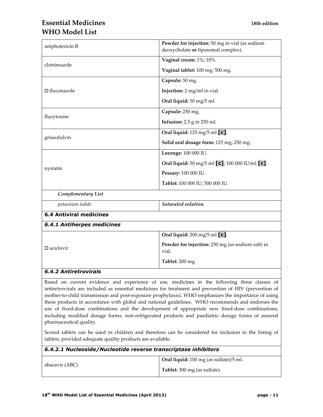| amphotericin B                    | Powder for injection: 50 mg in vial (as sodium<br>deoxycholate or liposomal complex). |  |
|-----------------------------------|---------------------------------------------------------------------------------------|--|
| clotrimazole                      | Vaginal cream: 1%; 10%.                                                               |  |
|                                   | Vaginal tablet: 100 mg; 500 mg.                                                       |  |
|                                   | Capsule: 50 mg.                                                                       |  |
| $\Box$ fluconazole                | Injection: 2 mg/ml in vial.                                                           |  |
|                                   | Oral liquid: 50 mg/5 ml.                                                              |  |
|                                   | Capsule: 250 mg.                                                                      |  |
| flucytosine                       | Infusion: $2.5$ g in $250$ ml.                                                        |  |
|                                   | Oral liquid: 125 mg/5 ml [c].                                                         |  |
| griseofulvin                      | Solid oral dosage form: 125 mg; 250 mg.                                               |  |
|                                   | Lozenge: 100 000 IU.                                                                  |  |
|                                   | Oral liquid: 50 mg/5 ml [c]; 100 000 IU/ml [c].                                       |  |
| nystatin                          | Pessary: 100 000 IU.                                                                  |  |
|                                   | Tablet: 100 000 IU; 500 000 IU.                                                       |  |
| Complementary List                |                                                                                       |  |
| potassium iodide                  | Saturated solution.                                                                   |  |
| <b>6.4 Antiviral medicines</b>    |                                                                                       |  |
| <b>6.4.1 Antiherpes medicines</b> |                                                                                       |  |
| $\square$ aciclovir               | Oral liquid: 200 mg/5 ml [c].                                                         |  |
|                                   | Powder for injection: 250 mg (as sodium salt) in<br>vial.                             |  |
|                                   | Tablet: 200 mg.                                                                       |  |
| <b>6.4.2 Antiretrovirals</b>      |                                                                                       |  |

Based on current evidence and experience of use, medicines in the following three classes of antiretrovirals are included as essential medicines for treatment and prevention of HIV (prevention of mother-to-child transmission and post-exposure prophylaxis). WHO emphasizes the importance of using these products in accordance with global and national guidelines. WHO recommends and endorses the use of fixed‐dose combinations and the development of appropriate new fixed‐dose combinations, including modified dosage forms, non-refrigerated products and paediatric dosage forms of assured pharmaceutical quality.

Scored tablets can be used in children and therefore can be considered for inclusion in the listing of tablets, provided adequate quality products are available.

#### *6.4.2.1 Nucleoside/Nucleotide reverse transcriptase inhibitors*

|                | Oral liquid: 100 mg (as sulfate)/5 ml. |
|----------------|----------------------------------------|
| abacavir (ABC) | Tablet: 300 mg (as sulfate).           |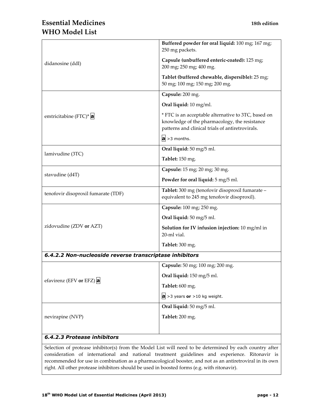| didanosine (ddI)                                        | Buffered powder for oral liquid: 100 mg; 167 mg;<br>250 mg packets.                                                                                      |  |
|---------------------------------------------------------|----------------------------------------------------------------------------------------------------------------------------------------------------------|--|
|                                                         | Capsule (unbuffered enteric-coated): 125 mg;<br>200 mg; 250 mg; 400 mg.                                                                                  |  |
|                                                         | Tablet (buffered chewable, dispersible): 25 mg;<br>50 mg; 100 mg; 150 mg; 200 mg.                                                                        |  |
|                                                         | Capsule: 200 mg.                                                                                                                                         |  |
|                                                         | Oral liquid: 10 mg/ml.                                                                                                                                   |  |
| emtricitabine (FTC)* a                                  | * FTC is an acceptable alternative to 3TC, based on<br>knowledge of the pharmacology, the resistance<br>patterns and clinical trials of antiretrovirals. |  |
|                                                         | $a$ > 3 months.                                                                                                                                          |  |
|                                                         | Oral liquid: 50 mg/5 ml.                                                                                                                                 |  |
| lamivudine (3TC)                                        | Tablet: 150 mg.                                                                                                                                          |  |
|                                                         | Capsule: 15 mg; 20 mg; 30 mg.                                                                                                                            |  |
| stavudine (d4T)                                         | Powder for oral liquid: 5 mg/5 ml.                                                                                                                       |  |
| tenofovir disoproxil fumarate (TDF)                     | Tablet: 300 mg (tenofovir disoproxil fumarate -<br>equivalent to 245 mg tenofovir disoproxil).                                                           |  |
|                                                         | Capsule: 100 mg; 250 mg.                                                                                                                                 |  |
|                                                         | Oral liquid: 50 mg/5 ml.                                                                                                                                 |  |
| zidovudine (ZDV or AZT)                                 | <b>Solution for IV infusion injection:</b> 10 mg/ml in<br>20-ml vial.                                                                                    |  |
|                                                         | Tablet: 300 mg.                                                                                                                                          |  |
| 6.4.2.2 Non-nucleoside reverse transcriptase inhibitors |                                                                                                                                                          |  |
|                                                         | Capsule: 50 mg; 100 mg; 200 mg.                                                                                                                          |  |
| efavirenz (EFV or EFZ) a                                | Oral liquid: 150 mg/5 ml.                                                                                                                                |  |
|                                                         | Tablet: 600 mg.                                                                                                                                          |  |
|                                                         | $a > 3$ years or $> 10$ kg weight.                                                                                                                       |  |
| nevirapine (NVP)                                        | Oral liquid: 50 mg/5 ml.                                                                                                                                 |  |
|                                                         | Tablet: 200 mg.                                                                                                                                          |  |
| 6.4.2.3 Protease inhibitors                             |                                                                                                                                                          |  |

Selection of protease inhibitor(s) from the Model List will need to be determined by each country after consideration of international and national treatment guidelines and experience. Ritonavir is recommended for use in combination as a pharmacological booster, and not as an antiretroviral in its own right. All other protease inhibitors should be used in boosted forms (e.g. with ritonavir).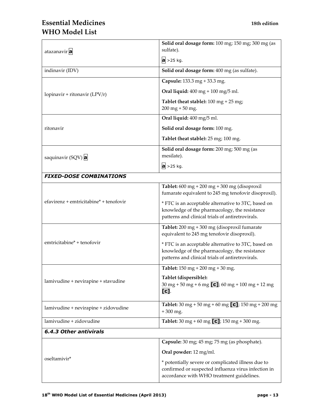| atazanavir a                           | Solid oral dosage form: 100 mg; 150 mg; 300 mg (as<br>sulfate).                                                                                          |  |
|----------------------------------------|----------------------------------------------------------------------------------------------------------------------------------------------------------|--|
|                                        | $a$ > 25 kg.                                                                                                                                             |  |
| indinavir (IDV)                        | Solid oral dosage form: 400 mg (as sulfate).                                                                                                             |  |
|                                        | Capsule: 133.3 mg + 33.3 mg.                                                                                                                             |  |
| lopinavir + ritonavir $(LPV/r)$        | Oral liquid: 400 mg + 100 mg/5 ml.                                                                                                                       |  |
|                                        | Tablet (heat stable): $100 \text{ mg} + 25 \text{ mg}$ ;<br>$200$ mg + $50$ mg.                                                                          |  |
|                                        | Oral liquid: 400 mg/5 ml.                                                                                                                                |  |
| ritonavir                              | Solid oral dosage form: 100 mg.                                                                                                                          |  |
|                                        | Tablet (heat stable): 25 mg; 100 mg.                                                                                                                     |  |
| saquinavir (SQV) a                     | Solid oral dosage form: 200 mg; 500 mg (as<br>mesilate).                                                                                                 |  |
|                                        | $a > 25$ kg.                                                                                                                                             |  |
| <b>FIXED-DOSE COMBINATIONS</b>         |                                                                                                                                                          |  |
|                                        | Tablet: $600 \text{ mg} + 200 \text{ mg} + 300 \text{ mg}$ (disoproxil<br>fumarate equivalent to 245 mg tenofovir disoproxil).                           |  |
| efavirenz + emtricitabine* + tenofovir | * FTC is an acceptable alternative to 3TC, based on<br>knowledge of the pharmacology, the resistance<br>patterns and clinical trials of antiretrovirals. |  |
|                                        | Tablet: 200 mg + 300 mg (disoproxil fumarate<br>equivalent to 245 mg tenofovir disoproxil).                                                              |  |
| emtricitabine* + tenofovir             | * FTC is an acceptable alternative to 3TC, based on<br>knowledge of the pharmacology, the resistance<br>patterns and clinical trials of antiretrovirals. |  |
|                                        | Tablet: $150 \text{ mg} + 200 \text{ mg} + 30 \text{ mg}$ .                                                                                              |  |
| lamivudine + nevirapine + stavudine    | Tablet (dispersible):<br>$30 \text{ mg} + 50 \text{ mg} + 6 \text{ mg}$ [c]; $60 \text{ mg} + 100 \text{ mg} + 12 \text{ mg}$<br>$[c]$ .                 |  |
| lamivudine + nevirapine + zidovudine   | Tablet: 30 mg + 50 mg + 60 mg $[c]$ ; 150 mg + 200 mg<br>$+300$ mg.                                                                                      |  |
| lamivudine + zidovudine                | Tablet: $30 \text{ mg} + 60 \text{ mg}$ [c]; $150 \text{ mg} + 300 \text{ mg}$ .                                                                         |  |
| <b>6.4.3 Other antivirals</b>          |                                                                                                                                                          |  |
| oseltamivir*                           | Capsule: 30 mg; 45 mg; 75 mg (as phosphate).                                                                                                             |  |
|                                        | Oral powder: 12 mg/ml.                                                                                                                                   |  |
|                                        | * potentially severe or complicated illness due to<br>confirmed or suspected influenza virus infection in<br>accordance with WHO treatment guidelines.   |  |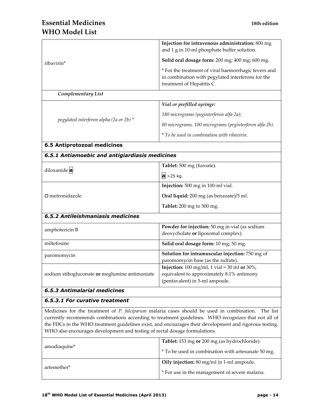| ribavirin*                                                                                | Injection for intravenous administration: 800 mg<br>and 1 g in 10-ml phosphate buffer solution.                                                              |  |
|-------------------------------------------------------------------------------------------|--------------------------------------------------------------------------------------------------------------------------------------------------------------|--|
|                                                                                           | Solid oral dosage form: 200 mg; 400 mg; 600 mg.                                                                                                              |  |
|                                                                                           | * For the treatment of viral haemorrhagic fevers and<br>in combination with pegylated interferons for the<br>treatment of Hepatitis C                        |  |
| Complementary List                                                                        |                                                                                                                                                              |  |
|                                                                                           | Vial or prefilled syringe:                                                                                                                                   |  |
|                                                                                           | 180 micrograms (peginterferon alfa-2a);                                                                                                                      |  |
| pegylated interferon alpha (2a or 2b) *                                                   | 80 micrograms, 100 micrograms (peginterferon alfa-2b).                                                                                                       |  |
|                                                                                           | * To be used in combination with ribavirin.                                                                                                                  |  |
| <b>6.5 Antiprotozoal medicines</b>                                                        |                                                                                                                                                              |  |
| 6.5.1 Antiamoebic and antigiardiasis medicines                                            |                                                                                                                                                              |  |
| diloxanide a                                                                              | Tablet: 500 mg (furoate).                                                                                                                                    |  |
|                                                                                           | $a$ > 25 kg.                                                                                                                                                 |  |
|                                                                                           | Injection: 500 mg in 100-ml vial.                                                                                                                            |  |
| $\square$ metronidazole                                                                   | Oral liquid: 200 mg (as benzoate)/5 ml.                                                                                                                      |  |
|                                                                                           | Tablet: 200 mg to 500 mg.                                                                                                                                    |  |
| 6.5.2 Antileishmaniasis medicines                                                         |                                                                                                                                                              |  |
| amphotericin B                                                                            | Powder for injection: 50 mg in vial (as sodium<br>deoxycholate or liposomal complex).                                                                        |  |
| miltefosine                                                                               | Solid oral dosage form: 10 mg; 50 mg.                                                                                                                        |  |
| paromomycin                                                                               | Solution for intramuscular injection: 750 mg of<br>paromomycin base (as the sulfate).                                                                        |  |
| sodium stibogluconate or meglumine antimoniate                                            | Injection: $100 \text{ mg/ml}$ , $1 \text{ vial} = 30 \text{ ml}$ or $30\%$ ,<br>equivalent to approximately 8.1% antimony<br>(pentavalent) in 5-ml ampoule. |  |
| <b>6.5.3 Antimalarial medicines</b>                                                       |                                                                                                                                                              |  |
| 6.5.3.1 For curative treatment                                                            |                                                                                                                                                              |  |
| Medicines for the treatment of P. falciparum malaria cases should be used in combination. | The list                                                                                                                                                     |  |

currently recommends combinations according to treatment guidelines. WHO recognizes that not all of the FDCs in the WHO treatment guidelines exist, and encourages their development and rigorous testing. WHO also encourages development and testing of rectal dosage formulations.

| amodiaquine* | Tablet: 153 mg or 200 mg (as hydrochloride).       |
|--------------|----------------------------------------------------|
|              | * To be used in combination with artesunate 50 mg. |
| artemether*  | Oily injection: 80 mg/ml in 1-ml ampoule.          |
|              | * For use in the management of severe malaria.     |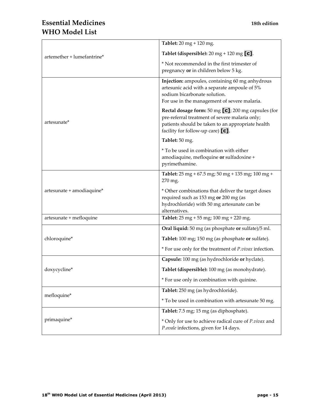|                            | Tablet: 20 mg + 120 mg.                                                                |
|----------------------------|----------------------------------------------------------------------------------------|
| artemether + lumefantrine* | Tablet (dispersible): $20 \text{ mg} + 120 \text{ mg}$ [c].                            |
|                            | * Not recommended in the first trimester of                                            |
|                            | pregnancy or in children below 5 kg.                                                   |
|                            | Injection: ampoules, containing 60 mg anhydrous                                        |
|                            | artesunic acid with a separate ampoule of 5%<br>sodium bicarbonate solution.           |
|                            | For use in the management of severe malaria.                                           |
|                            | Rectal dosage form: 50 mg [c]; 200 mg capsules (for                                    |
| artesunate*                | pre-referral treatment of severe malaria only;                                         |
|                            | patients should be taken to an appropriate health<br>facility for follow-up care) [c]. |
|                            | Tablet: 50 mg.                                                                         |
|                            | * To be used in combination with either                                                |
|                            | amodiaquine, mefloquine or sulfadoxine +<br>pyrimethamine.                             |
|                            | Tablet: 25 mg + 67.5 mg; 50 mg + 135 mg; 100 mg +                                      |
| artesunate + amodiaquine*  | 270 mg.                                                                                |
|                            | * Other combinations that deliver the target doses                                     |
|                            | required such as 153 mg or 200 mg (as<br>hydrochloride) with 50 mg artesunate can be   |
|                            | alternatives.                                                                          |
| artesunate + mefloquine    | Tablet: 25 mg + 55 mg; 100 mg + 220 mg.                                                |
|                            | Oral liquid: 50 mg (as phosphate or sulfate)/5 ml.                                     |
| chloroquine*               | Tablet: 100 mg; 150 mg (as phosphate or sulfate).                                      |
|                            | * For use only for the treatment of <i>P.vivax</i> infection.                          |
| doxycycline*               | Capsule: 100 mg (as hydrochloride or hyclate).                                         |
|                            | Tablet (dispersible): 100 mg (as monohydrate).                                         |
|                            | * For use only in combination with quinine.                                            |
| mefloquine*                | Tablet: 250 mg (as hydrochloride).                                                     |
|                            | * To be used in combination with artesunate 50 mg.                                     |
|                            | Tablet: 7.5 mg; 15 mg (as diphosphate).                                                |
| primaquine*                | * Only for use to achieve radical cure of P.vivax and                                  |
|                            | P.ovale infections, given for 14 days.                                                 |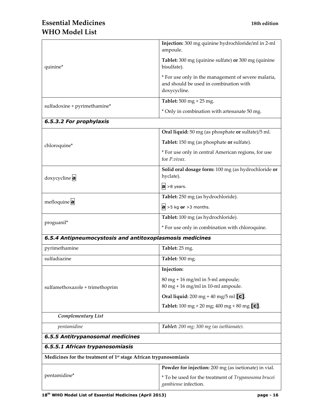| quinine*                                                                     | Injection: 300 mg quinine hydrochloride/ml in 2-ml<br>ampoule.                                                |  |
|------------------------------------------------------------------------------|---------------------------------------------------------------------------------------------------------------|--|
|                                                                              | Tablet: 300 mg (quinine sulfate) or 300 mg (quinine<br>bisulfate).                                            |  |
|                                                                              | * For use only in the management of severe malaria,<br>and should be used in combination with<br>doxycycline. |  |
| sulfadoxine + pyrimethamine*                                                 | Tablet: 500 mg + 25 mg.                                                                                       |  |
|                                                                              | * Only in combination with artesunate 50 mg.                                                                  |  |
| 6.5.3.2 For prophylaxis                                                      |                                                                                                               |  |
|                                                                              | Oral liquid: 50 mg (as phosphate or sulfate)/5 ml.                                                            |  |
| chloroquine*                                                                 | Tablet: 150 mg (as phosphate or sulfate).                                                                     |  |
|                                                                              | * For use only in central American regions, for use<br>for P.vivax.                                           |  |
|                                                                              | Solid oral dosage form: 100 mg (as hydrochloride or                                                           |  |
| doxycycline a                                                                | hyclate).                                                                                                     |  |
|                                                                              | $a$ >8 years.                                                                                                 |  |
| mefloquine a                                                                 | Tablet: 250 mg (as hydrochloride).                                                                            |  |
|                                                                              | $ a  > 5$ kg or $> 3$ months.                                                                                 |  |
| proguanil*                                                                   | Tablet: 100 mg (as hydrochloride).                                                                            |  |
|                                                                              | * For use only in combination with chloroquine.                                                               |  |
| 6.5.4 Antipneumocystosis and antitoxoplasmosis medicines                     |                                                                                                               |  |
| pyrimethamine                                                                | Tablet: 25 mg.                                                                                                |  |
| sulfadiazine                                                                 | Tablet: 500 mg.                                                                                               |  |
|                                                                              | Injection:                                                                                                    |  |
| sulfamethoxazole + trimethoprim                                              | 80 mg + 16 mg/ml in 5-ml ampoule;<br>80 mg + 16 mg/ml in 10-ml ampoule.                                       |  |
|                                                                              | Oral liquid: $200 \text{ mg} + 40 \text{ mg}/5 \text{ ml}$ [c].                                               |  |
|                                                                              | Tablet: $100 \text{ mg} + 20 \text{ mg}$ ; $400 \text{ mg} + 80 \text{ mg}$ [c].                              |  |
| Complementary List                                                           |                                                                                                               |  |
| pentamidine                                                                  | Tablet: 200 mg; 300 mg (as isethionate).                                                                      |  |
| 6.5.5 Antitrypanosomal medicines                                             |                                                                                                               |  |
| 6.5.5.1 African trypanosomiasis                                              |                                                                                                               |  |
| Medicines for the treatment of 1 <sup>st</sup> stage African trypanosomiasis |                                                                                                               |  |
|                                                                              | Powder for injection: 200 mg (as isetionate) in vial.                                                         |  |
| pentamidine*                                                                 | * To be used for the treatment of Trypanosoma brucei<br>gambiense infection.                                  |  |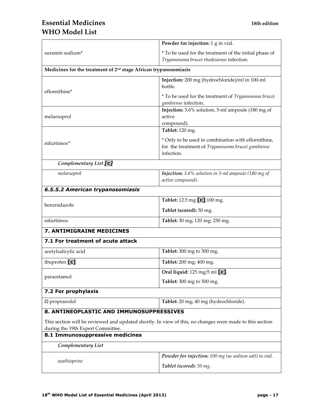|                                                                                                                                               | Powder for injection: 1 g in vial.                                                                                     |  |
|-----------------------------------------------------------------------------------------------------------------------------------------------|------------------------------------------------------------------------------------------------------------------------|--|
| suramin sodium*                                                                                                                               | * To be used for the treatment of the initial phase of<br>Trypanosoma brucei rhodesiense infection.                    |  |
| Medicines for the treatment of 2 <sup>nd</sup> stage African trypanosomiasis                                                                  |                                                                                                                        |  |
| eflornithine*                                                                                                                                 | Injection: 200 mg (hydrochloride)/ml in 100-ml<br>bottle.                                                              |  |
|                                                                                                                                               | * To be used for the treatment of Trypanosoma brucei<br>gambiense infection.                                           |  |
| melarsoprol                                                                                                                                   | Injection: 3.6% solution, 5-ml ampoule (180 mg of<br>active<br>compound).                                              |  |
|                                                                                                                                               | Tablet: 120 mg.                                                                                                        |  |
| nifurtimox*                                                                                                                                   | * Only to be used in combination with eflornithine,<br>for the treatment of Trypanosoma brucei gambiense<br>infection. |  |
| Complementary List [c]                                                                                                                        |                                                                                                                        |  |
| melarsoprol                                                                                                                                   | Injection: 3.6% solution in 5-ml ampoule (180 mg of<br>active compound).                                               |  |
| 6.5.5.2 American trypanosomiasis                                                                                                              |                                                                                                                        |  |
| benznidazole                                                                                                                                  | Tablet: 12.5 mg [c];100 mg.                                                                                            |  |
|                                                                                                                                               | Tablet (scored): 50 mg.                                                                                                |  |
| nifurtimox                                                                                                                                    | Tablet: 30 mg; 120 mg; 250 mg.                                                                                         |  |
| 7. ANTIMIGRAINE MEDICINES                                                                                                                     |                                                                                                                        |  |
| 7.1 For treatment of acute attack                                                                                                             |                                                                                                                        |  |
| acetylsalicylic acid                                                                                                                          | Tablet: 300 mg to 500 mg.                                                                                              |  |
| ibuprofen [c]                                                                                                                                 | Tablet: 200 mg; 400 mg.                                                                                                |  |
| paracetamol                                                                                                                                   | Oral liquid: 125 mg/5 ml [c].                                                                                          |  |
|                                                                                                                                               | Tablet: 300 mg to 500 mg.                                                                                              |  |
| 7.2 For prophylaxis                                                                                                                           |                                                                                                                        |  |
| $\square$ propranolol                                                                                                                         | Tablet: 20 mg; 40 mg (hydrochloride).                                                                                  |  |
| 8. ANTINEOPLASTIC AND IMMUNOSUPPRESSIVES                                                                                                      |                                                                                                                        |  |
| This section will be reviewed and updated shortly. In view of this, no changes were made to this section<br>during the 19th Expert Committee. |                                                                                                                        |  |
| 8.1 Immunosuppressive medicines                                                                                                               |                                                                                                                        |  |
| Complementary List                                                                                                                            |                                                                                                                        |  |
| azathioprine                                                                                                                                  | Powder for injection: 100 mg (as sodium salt) in vial.                                                                 |  |
|                                                                                                                                               | Tablet (scored): 50 mg.                                                                                                |  |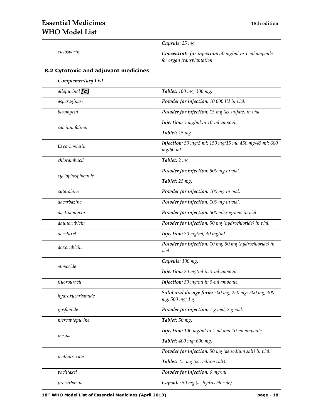|                    | Capsule: 25 mg.                                                                   |  |  |
|--------------------|-----------------------------------------------------------------------------------|--|--|
| ciclosporin        | Concentrate for injection: 50 mg/ml in 1-ml ampoule<br>for organ transplantation. |  |  |
|                    | 8.2 Cytotoxic and adjuvant medicines                                              |  |  |
| Complementary List |                                                                                   |  |  |
| allopurinol $[c]$  | Tablet: 100 mg; 300 mg.                                                           |  |  |
| asparaginase       | Powder for injection: 10 000 IU in vial.                                          |  |  |
| bleomycin          | Powder for injection: 15 mg (as sulfate) in vial.                                 |  |  |
|                    | Injection: 3 mg/ml in 10-ml ampoule.                                              |  |  |
| calcium folinate   | Tablet: 15 mg.                                                                    |  |  |
| $\Box$ carboplatin | Injection: 50 mg/5 ml; 150 mg/15 ml; 450 mg/45 ml; 600<br>mg/60 ml.               |  |  |
| chlorambucil       | Tablet: 2 mg.                                                                     |  |  |
|                    | Powder for injection: 500 mg in vial.                                             |  |  |
| cyclophosphamide   | Tablet: 25 mg.                                                                    |  |  |
| cytarabine         | Powder for injection: 100 mg in vial.                                             |  |  |
| dacarbazine        | Powder for injection: 100 mg in vial.                                             |  |  |
| dactinomycin       | Powder for injection: 500 micrograms in vial.                                     |  |  |
| daunorubicin       | Powder for injection: 50 mg (hydrochloride) in vial.                              |  |  |
| docetaxel          | Injection: 20 mg/ml; 40 mg/ml.                                                    |  |  |
| doxorubicin        | Powder for injection: 10 mg; 50 mg (hydrochloride) in<br>vial.                    |  |  |
|                    | Capsule: 100 mg.                                                                  |  |  |
| etoposide          | Injection: 20 mg/ml in 5-ml ampoule.                                              |  |  |
| fluorouracil       | Injection: 50 mg/ml in 5-ml ampoule.                                              |  |  |
| hydroxycarbamide   | Solid oral dosage form: 200 mg; 250 mg; 300 mg; 400<br>mg; 500 mg; 1 g.           |  |  |
| ifosfamide         | <b>Powder for injection:</b> $1 g$ vial; $2 g$ vial.                              |  |  |
| mercaptopurine     | Tablet: 50 mg.                                                                    |  |  |
|                    | Injection: 100 mg/ml in 4-ml and 10-ml ampoules.                                  |  |  |
| mesna              | Tablet: 400 mg; 600 mg.                                                           |  |  |
| methotrexate       | Powder for injection: 50 mg (as sodium salt) in vial.                             |  |  |
|                    | Tablet: 2.5 mg (as sodium salt).                                                  |  |  |
| paclitaxel         | Powder for injection: 6 mg/ml.                                                    |  |  |
| procarbazine       | Capsule: 50 mg (as hydrochloride).                                                |  |  |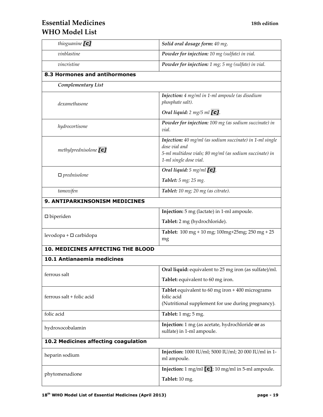| thioguanine $\left[\mathsf{c}\right]$ | Solid oral dosage form: 40 mg.                                                                                                                                 |  |
|---------------------------------------|----------------------------------------------------------------------------------------------------------------------------------------------------------------|--|
| vinblastine                           | Powder for injection: 10 mg (sulfate) in vial.                                                                                                                 |  |
| vincristine                           | Powder for injection: 1 mg; 5 mg (sulfate) in vial.                                                                                                            |  |
| 8.3 Hormones and antihormones         |                                                                                                                                                                |  |
| Complementary List                    |                                                                                                                                                                |  |
| dexamethasone                         | Injection: 4 mg/ml in 1-ml ampoule (as disodium<br>phosphate salt).                                                                                            |  |
|                                       | Oral liquid: $2 \frac{mg}{5}$ ml [c].                                                                                                                          |  |
| hydrocortisone                        | Powder for injection: 100 mg (as sodium succinate) in<br>vial.                                                                                                 |  |
| methylprednisolone $[c]$              | Injection: 40 mg/ml (as sodium succinate) in 1-ml single<br>dose vial and<br>5-ml multidose vials; 80 mg/ml (as sodium succinate) in<br>1-ml single dose vial. |  |
| $\Box$ prednisolone                   | Oral liquid: $5$ mg/ml $[c]$ .                                                                                                                                 |  |
|                                       | Tablet: 5 mg; 25 mg.                                                                                                                                           |  |
| tamoxifen                             | Tablet: 10 mg; 20 mg (as citrate).                                                                                                                             |  |
| 9. ANTIPARKINSONISM MEDICINES         |                                                                                                                                                                |  |
| $\square$ biperiden                   | Injection: 5 mg (lactate) in 1-ml ampoule.                                                                                                                     |  |
|                                       | Tablet: 2 mg (hydrochloride).                                                                                                                                  |  |
| levodopa + □ carbidopa                | Tablet: 100 mg + 10 mg; 100mg+25mg; 250 mg + 25<br>mg                                                                                                          |  |
| 10. MEDICINES AFFECTING THE BLOOD     |                                                                                                                                                                |  |
| 10.1 Antianaemia medicines            |                                                                                                                                                                |  |
| ferrous salt                          | Oral liquid: equivalent to 25 mg iron (as sulfate)/ml.                                                                                                         |  |
|                                       | Tablet: equivalent to 60 mg iron.                                                                                                                              |  |
| ferrous salt + folic acid             | Tablet equivalent to $60$ mg iron $+400$ micrograms<br>folic acid<br>(Nutritional supplement for use during pregnancy).                                        |  |
| folic acid                            | Tablet: 1 mg; 5 mg.                                                                                                                                            |  |
| hydroxocobalamin                      | Injection: 1 mg (as acetate, hydrochloride or as<br>sulfate) in 1-ml ampoule.                                                                                  |  |
| 10.2 Medicines affecting coagulation  |                                                                                                                                                                |  |
| heparin sodium                        | Injection: 1000 IU/ml; 5000 IU/ml; 20 000 IU/ml in 1-<br>ml ampoule.                                                                                           |  |
| phytomenadione                        | <b>Injection:</b> 1 mg/ml $[c]$ ; 10 mg/ml in 5-ml ampoule.                                                                                                    |  |
|                                       | Tablet: 10 mg.                                                                                                                                                 |  |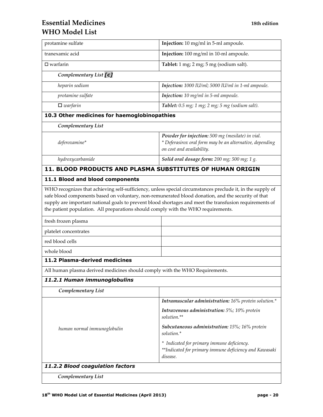| protamine sulfate                                                                                                                                                                                                                                                                                                                                                                                                | Injection: 10 mg/ml in 5-ml ampoule.                                                                                                      |  |
|------------------------------------------------------------------------------------------------------------------------------------------------------------------------------------------------------------------------------------------------------------------------------------------------------------------------------------------------------------------------------------------------------------------|-------------------------------------------------------------------------------------------------------------------------------------------|--|
| tranexamic acid                                                                                                                                                                                                                                                                                                                                                                                                  | Injection: 100 mg/ml in 10-ml ampoule.                                                                                                    |  |
| $\square$ warfarin                                                                                                                                                                                                                                                                                                                                                                                               | Tablet: 1 mg; 2 mg; 5 mg (sodium salt).                                                                                                   |  |
| Complementary List [c]                                                                                                                                                                                                                                                                                                                                                                                           |                                                                                                                                           |  |
| heparin sodium                                                                                                                                                                                                                                                                                                                                                                                                   | Injection: 1000 IU/ml; 5000 IU/ml in 1-ml ampoule.                                                                                        |  |
| protamine sulfate                                                                                                                                                                                                                                                                                                                                                                                                | Injection: 10 mg/ml in 5-ml ampoule.                                                                                                      |  |
| $\Box$ warfarin                                                                                                                                                                                                                                                                                                                                                                                                  | Tablet: 0.5 mg; 1 mg; 2 mg; 5 mg (sodium salt).                                                                                           |  |
| 10.3 Other medicines for haemoglobinopathies                                                                                                                                                                                                                                                                                                                                                                     |                                                                                                                                           |  |
| Complementary List                                                                                                                                                                                                                                                                                                                                                                                               |                                                                                                                                           |  |
| deferoxamine*                                                                                                                                                                                                                                                                                                                                                                                                    | Powder for injection: 500 mg (mesilate) in vial.<br>* Deferasirox oral form may be an alternative, depending<br>on cost and availability. |  |
| hydroxycarbamide                                                                                                                                                                                                                                                                                                                                                                                                 | Solid oral dosage form: 200 mg; 500 mg; 1 g.                                                                                              |  |
| 11. BLOOD PRODUCTS AND PLASMA SUBSTITUTES OF HUMAN ORIGIN                                                                                                                                                                                                                                                                                                                                                        |                                                                                                                                           |  |
| 11.1 Blood and blood components                                                                                                                                                                                                                                                                                                                                                                                  |                                                                                                                                           |  |
| WHO recognizes that achieving self-sufficiency, unless special circumstances preclude it, in the supply of<br>safe blood components based on voluntary, non-remunerated blood donation, and the security of that<br>supply are important national goals to prevent blood shortages and meet the transfusion requirements of<br>the patient population. All preparations should comply with the WHO requirements. |                                                                                                                                           |  |
| fresh frozen plasma                                                                                                                                                                                                                                                                                                                                                                                              |                                                                                                                                           |  |
| platelet concentrates                                                                                                                                                                                                                                                                                                                                                                                            |                                                                                                                                           |  |
| red blood cells                                                                                                                                                                                                                                                                                                                                                                                                  |                                                                                                                                           |  |
| whole blood                                                                                                                                                                                                                                                                                                                                                                                                      |                                                                                                                                           |  |
| 11.2 Plasma-derived medicines                                                                                                                                                                                                                                                                                                                                                                                    |                                                                                                                                           |  |
| All human plasma derived medicines should comply with the WHO Requirements.                                                                                                                                                                                                                                                                                                                                      |                                                                                                                                           |  |
| 11.2.1 Human immunoglobulins                                                                                                                                                                                                                                                                                                                                                                                     |                                                                                                                                           |  |
| Complementary List                                                                                                                                                                                                                                                                                                                                                                                               |                                                                                                                                           |  |
|                                                                                                                                                                                                                                                                                                                                                                                                                  | Intramuscular administration: 16% protein solution.*                                                                                      |  |
|                                                                                                                                                                                                                                                                                                                                                                                                                  | Intravenous administration: 5%; 10% protein<br>solution.**                                                                                |  |
| human normal immunoglobulin                                                                                                                                                                                                                                                                                                                                                                                      | Subcutaneous administration: 15%; 16% protein<br>solution.*                                                                               |  |
|                                                                                                                                                                                                                                                                                                                                                                                                                  | * Indicated for primary immune deficiency.<br>**Indicated for primary immune deficiency and Kawasaki<br>disease.                          |  |
| 11.2.2 Blood coagulation factors                                                                                                                                                                                                                                                                                                                                                                                 |                                                                                                                                           |  |
| Complementary List                                                                                                                                                                                                                                                                                                                                                                                               |                                                                                                                                           |  |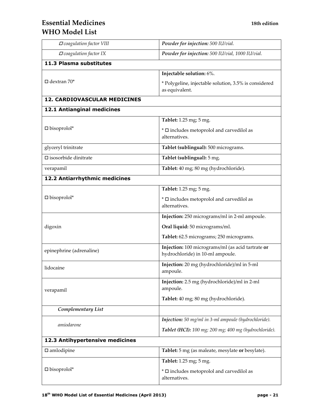| $\Box$ coagulation factor VIII  | Powder for injection: 500 IU/vial.                                                    |
|---------------------------------|---------------------------------------------------------------------------------------|
| $\Box$ coagulation factor IX    | Powder for injection: 500 IU/vial, 1000 IU/vial.                                      |
| 11.3 Plasma substitutes         |                                                                                       |
|                                 | Injectable solution: 6%.                                                              |
| $\Box$ dextran 70*              | * Polygeline, injectable solution, 3.5% is considered<br>as equivalent.               |
| 12. CARDIOVASCULAR MEDICINES    |                                                                                       |
| 12.1 Antianginal medicines      |                                                                                       |
|                                 | Tablet: 1.25 mg; 5 mg.                                                                |
| $\square$ bisoprolol*           | $^*$ $\Box$ includes metoprolol and carvedilol as<br>alternatives.                    |
| glyceryl trinitrate             | Tablet (sublingual): 500 micrograms.                                                  |
| $\square$ isosorbide dinitrate  | Tablet (sublingual): 5 mg.                                                            |
| verapamil                       | Tablet: 40 mg; 80 mg (hydrochloride).                                                 |
| 12.2 Antiarrhythmic medicines   |                                                                                       |
|                                 | Tablet: 1.25 mg; 5 mg.                                                                |
| $\square$ bisoprolol*           | $^*$ $\Box$ includes metoprolol and carvedilol as<br>alternatives.                    |
|                                 | Injection: 250 micrograms/ml in 2-ml ampoule.                                         |
| digoxin                         | Oral liquid: 50 micrograms/ml.                                                        |
|                                 | Tablet: 62.5 micrograms; 250 micrograms.                                              |
| epinephrine (adrenaline)        | Injection: 100 micrograms/ml (as acid tartrate or<br>hydrochloride) in 10-ml ampoule. |
| lidocaine                       | Injection: 20 mg (hydrochloride)/ml in 5-ml<br>ampoule.                               |
| verapamil                       | Injection: 2.5 mg (hydrochloride)/ml in 2-ml<br>ampoule.                              |
|                                 | Tablet: 40 mg; 80 mg (hydrochloride).                                                 |
| <b>Complementary List</b>       |                                                                                       |
| amiodarone                      | Injection: 50 mg/ml in 3-ml ampoule (hydrochloride).                                  |
|                                 | Tablet (HCI): 100 mg; 200 mg; 400 mg (hydrochloride).                                 |
| 12.3 Antihypertensive medicines |                                                                                       |
| $\square$ amlodipine            | Tablet: 5 mg (as maleate, mesylate or besylate).                                      |
|                                 | Tablet: 1.25 mg; 5 mg.                                                                |
| $\Box$ bisoprolol*              | * $\square$ includes metoprolol and carvedilol as<br>alternatives.                    |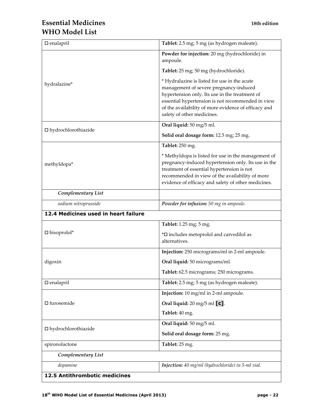| $\square$ enalapril                  | Tablet: 2.5 mg; 5 mg (as hydrogen maleate).                                                                                                                                                                                                                                         |
|--------------------------------------|-------------------------------------------------------------------------------------------------------------------------------------------------------------------------------------------------------------------------------------------------------------------------------------|
|                                      | Powder for injection: 20 mg (hydrochloride) in<br>ampoule.                                                                                                                                                                                                                          |
|                                      | Tablet: 25 mg; 50 mg (hydrochloride).                                                                                                                                                                                                                                               |
| hydralazine*                         | * Hydralazine is listed for use in the acute<br>management of severe pregnancy-induced<br>hypertension only. Its use in the treatment of<br>essential hypertension is not recommended in view<br>of the availability of more evidence of efficacy and<br>safety of other medicines. |
| $\square$ hydrochlorothiazide        | Oral liquid: 50 mg/5 ml.                                                                                                                                                                                                                                                            |
|                                      | Solid oral dosage form: 12.5 mg; 25 mg.                                                                                                                                                                                                                                             |
|                                      | Tablet: 250 mg.                                                                                                                                                                                                                                                                     |
| methyldopa*                          | * Methyldopa is listed for use in the management of<br>pregnancy-induced hypertension only. Its use in the<br>treatment of essential hypertension is not<br>recommended in view of the availability of more<br>evidence of efficacy and safety of other medicines.                  |
| <b>Complementary List</b>            |                                                                                                                                                                                                                                                                                     |
| sodium nitroprusside                 | Powder for infusion: 50 mg in ampoule.                                                                                                                                                                                                                                              |
| 12.4 Medicines used in heart failure |                                                                                                                                                                                                                                                                                     |
|                                      | Tablet: 1.25 mg; 5 mg.                                                                                                                                                                                                                                                              |
| $\square$ bisoprolol*                | * <sup>D</sup> includes metoprolol and carvedilol as<br>alternatives.                                                                                                                                                                                                               |
|                                      | Injection: 250 micrograms/ml in 2-ml ampoule.                                                                                                                                                                                                                                       |
| digoxin                              | Oral liquid: 50 micrograms/ml.                                                                                                                                                                                                                                                      |
|                                      | Tablet: 62.5 micrograms; 250 micrograms.                                                                                                                                                                                                                                            |
| $\square$ enalapril                  | Tablet: 2.5 mg; 5 mg (as hydrogen maleate).                                                                                                                                                                                                                                         |
|                                      | Injection: 10 mg/ml in 2-ml ampoule.                                                                                                                                                                                                                                                |
| $\square$ furosemide                 | Oral liquid: 20 mg/5 ml [c].                                                                                                                                                                                                                                                        |
|                                      | Tablet: 40 mg.                                                                                                                                                                                                                                                                      |
|                                      |                                                                                                                                                                                                                                                                                     |
|                                      | Oral liquid: 50 mg/5 ml.                                                                                                                                                                                                                                                            |
| $\square$ hydrochlorothiazide        | Solid oral dosage form: 25 mg.                                                                                                                                                                                                                                                      |
| spironolactone                       | Tablet: 25 mg.                                                                                                                                                                                                                                                                      |
| <b>Complementary List</b>            |                                                                                                                                                                                                                                                                                     |
| dopamine                             | Injection: 40 mg/ml (hydrochloride) in 5-ml vial.                                                                                                                                                                                                                                   |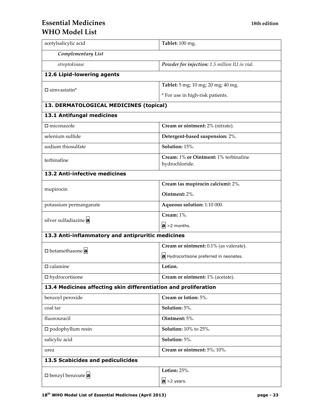| acetylsalicylic acid                                            | Tablet: 100 mg.                                         |  |
|-----------------------------------------------------------------|---------------------------------------------------------|--|
| Complementary List                                              |                                                         |  |
| streptokinase                                                   | Powder for injection: 1.5 million IU in vial.           |  |
| 12.6 Lipid-lowering agents                                      |                                                         |  |
| $\square$ simvastatin*                                          | Tablet: 5 mg; 10 mg; 20 mg; 40 mg.                      |  |
|                                                                 | * For use in high-risk patients.                        |  |
| 13. DERMATOLOGICAL MEDICINES (topical)                          |                                                         |  |
| 13.1 Antifungal medicines                                       |                                                         |  |
| $\square$ miconazole                                            | Cream or ointment: 2% (nitrate).                        |  |
| selenium sulfide                                                | Detergent-based suspension: 2%.                         |  |
| sodium thiosulfate                                              | Solution: 15%.                                          |  |
| terbinafine                                                     | Cream: 1% or Ointment: 1% terbinafine<br>hydrochloride. |  |
| 13.2 Anti-infective medicines                                   |                                                         |  |
| mupirocin                                                       | Cream (as mupirocin calcium): 2%.                       |  |
|                                                                 | Ointment: 2%.                                           |  |
| potassium permanganate                                          | Aqueous solution: 1:10 000.                             |  |
| silver sulfadiazine a                                           | Cream: 1%.                                              |  |
|                                                                 | $a$ > 2 months.                                         |  |
| 13.3 Anti-inflammatory and antipruritic medicines               |                                                         |  |
| $\Box$ betamethasone <b>a</b>                                   | Cream or ointment: 0.1% (as valerate).                  |  |
|                                                                 | a Hydrocortisone preferred in neonates.                 |  |
| $\square$ calamine                                              | Lotion.                                                 |  |
| $\Box$ hydrocortisone                                           | Cream or ointment: 1% (acetate).                        |  |
| 13.4 Medicines affecting skin differentiation and proliferation |                                                         |  |
| benzoyl peroxide                                                | Cream or lotion: 5%.                                    |  |
| coal tar                                                        | Solution: 5%.                                           |  |
| fluorouracil                                                    | Ointment: 5%.                                           |  |
| $\square$ podophyllum resin                                     | <b>Solution:</b> 10% to 25%.                            |  |
| salicylic acid                                                  | Solution: 5%.                                           |  |
| urea                                                            | Cream or ointment: 5%; 10%.                             |  |
| 13.5 Scabicides and pediculicides                               |                                                         |  |
| $\square$ benzyl benzoate a                                     | Lotion: 25%.                                            |  |
|                                                                 | $a$ > 2 years.                                          |  |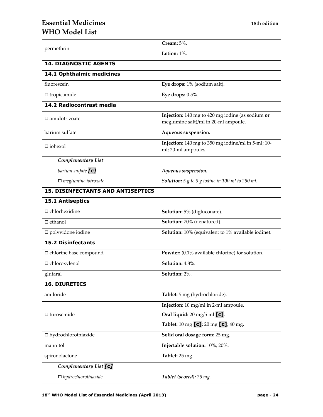| permethrin                               | Cream: 5%.                                                                               |  |
|------------------------------------------|------------------------------------------------------------------------------------------|--|
|                                          | Lotion: 1%.                                                                              |  |
| <b>14. DIAGNOSTIC AGENTS</b>             |                                                                                          |  |
| 14.1 Ophthalmic medicines                |                                                                                          |  |
| fluorescein                              | Eye drops: 1% (sodium salt).                                                             |  |
| $\square$ tropicamide                    | Eye drops: 0.5%.                                                                         |  |
| 14.2 Radiocontrast media                 |                                                                                          |  |
| $\square$ amidotrizoate                  | Injection: 140 mg to 420 mg iodine (as sodium or<br>meglumine salt)/ml in 20-ml ampoule. |  |
| barium sulfate                           | Aqueous suspension.                                                                      |  |
| $\square$ iohexol                        | Injection: 140 mg to 350 mg iodine/ml in 5-ml; 10-<br>ml; 20-ml ampoules.                |  |
| Complementary List                       |                                                                                          |  |
| barium sulfate [c]                       | Aqueous suspension.                                                                      |  |
| $\Box$ meglumine iotroxate               | <b>Solution:</b> $5 g to 8 g$ iodine in 100 ml to 250 ml.                                |  |
| <b>15. DISINFECTANTS AND ANTISEPTICS</b> |                                                                                          |  |
| <b>15.1 Antiseptics</b>                  |                                                                                          |  |
| $\Box$ chlorhexidine                     | Solution: 5% (digluconate).                                                              |  |
| $\square$ ethanol                        | Solution: 70% (denatured).                                                               |  |
| $\square$ polyvidone iodine              | <b>Solution:</b> 10% (equivalent to 1% available iodine).                                |  |
| 15.2 Disinfectants                       |                                                                                          |  |
| □ chlorine base compound                 | Powder: (0.1% available chlorine) for solution.                                          |  |
| $\Box$ chloroxylenol                     | Solution: 4.8%.                                                                          |  |
| glutaral                                 | Solution: 2%.                                                                            |  |
| <b>16. DIURETICS</b>                     |                                                                                          |  |
| amiloride                                | Tablet: 5 mg (hydrochloride).                                                            |  |
|                                          | Injection: 10 mg/ml in 2-ml ampoule.                                                     |  |
| $\square$ furosemide                     | Oral liquid: 20 mg/5 ml [c].                                                             |  |
|                                          | Tablet: 10 mg [c]; 20 mg [c]; 40 mg.                                                     |  |
| $\square$ hydrochlorothiazide            | Solid oral dosage form: 25 mg.                                                           |  |
| mannitol                                 | Injectable solution: 10%; 20%.                                                           |  |
| spironolactone                           | Tablet: 25 mg.                                                                           |  |
| Complementary List [c]                   |                                                                                          |  |
| $\Box$ hydrochlorothiazide               | Tablet (scored): 25 mg.                                                                  |  |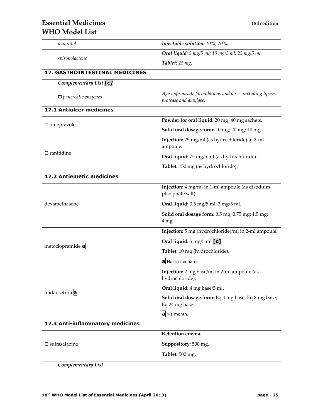| mannitol                         | Injectable solution: 10%; 20%.                                                    |  |
|----------------------------------|-----------------------------------------------------------------------------------|--|
| spironolactone                   | Oral liquid: 5 mg/5 ml; 10 mg/5 ml; 25 mg/5 ml.                                   |  |
|                                  | Tablet: 25 mg.                                                                    |  |
| 17. GASTROINTESTINAL MEDICINES   |                                                                                   |  |
| Complementary List [c]           |                                                                                   |  |
| $\Box$ pancreatic enzymes        | Age-appropriate formulations and doses including lipase,<br>protease and amylase. |  |
| 17.1 Antiulcer medicines         |                                                                                   |  |
|                                  | Powder for oral liquid: 20 mg; 40 mg sachets.                                     |  |
| $\square$ omeprazole             | Solid oral dosage form: 10 mg; 20 mg; 40 mg.                                      |  |
|                                  | Injection: 25 mg/ml (as hydrochloride) in 2-ml<br>ampoule.                        |  |
| $\square$ ranitidine             | Oral liquid: 75 mg/5 ml (as hydrochloride).                                       |  |
|                                  | Tablet: 150 mg (as hydrochloride).                                                |  |
| 17.2 Antiemetic medicines        |                                                                                   |  |
|                                  | Injection: 4 mg/ml in 1-ml ampoule (as disodium<br>phosphate salt).               |  |
| dexamethasone                    | Oral liquid: 0.5 mg/5 ml; 2 mg/5 ml.                                              |  |
|                                  | Solid oral dosage form: 0.5 mg; 0.75 mg; 1.5 mg;<br>$4$ mg.                       |  |
|                                  | Injection: 5 mg (hydrochloride)/ml in 2-ml ampoule.                               |  |
| metoclopramide <sup>a</sup>      | Oral liquid: 5 mg/5 ml [c].                                                       |  |
|                                  | Tablet: 10 mg (hydrochloride).                                                    |  |
|                                  | a Not in neonates.                                                                |  |
| ondansetron a                    | Injection: 2 mg base/ml in 2-ml ampoule (as<br>hydrochloride).                    |  |
|                                  | Oral liquid: 4 mg base/5 ml.                                                      |  |
|                                  | Solid oral dosage form: Eq 4 mg base; Eq 8 mg base;<br>Eq 24 mg base.             |  |
|                                  | $\overline{a}$ >1 month.                                                          |  |
| 17.3 Anti-inflammatory medicines |                                                                                   |  |
|                                  | Retention enema.                                                                  |  |
| $\square$ sulfasalazine          | Suppository: 500 mg.                                                              |  |
|                                  | Tablet: 500 mg.                                                                   |  |
| <b>Complementary List</b>        |                                                                                   |  |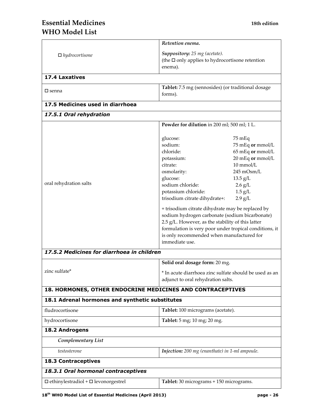|                                                            | Retention enema.                                                                                                                                                                                                                                                                                                                                                                                                                                      |                                                                                                                                                    |
|------------------------------------------------------------|-------------------------------------------------------------------------------------------------------------------------------------------------------------------------------------------------------------------------------------------------------------------------------------------------------------------------------------------------------------------------------------------------------------------------------------------------------|----------------------------------------------------------------------------------------------------------------------------------------------------|
| $\Box$ hydrocortisone                                      | Suppository: 25 mg (acetate).<br>(the $\square$ only applies to hydrocortisone retention<br>enema).                                                                                                                                                                                                                                                                                                                                                   |                                                                                                                                                    |
| 17.4 Laxatives                                             |                                                                                                                                                                                                                                                                                                                                                                                                                                                       |                                                                                                                                                    |
| $\square$ senna                                            | Tablet: 7.5 mg (sennosides) (or traditional dosage<br>forms).                                                                                                                                                                                                                                                                                                                                                                                         |                                                                                                                                                    |
| 17.5 Medicines used in diarrhoea                           |                                                                                                                                                                                                                                                                                                                                                                                                                                                       |                                                                                                                                                    |
| 17.5.1 Oral rehydration                                    |                                                                                                                                                                                                                                                                                                                                                                                                                                                       |                                                                                                                                                    |
|                                                            | Powder for dilution in 200 ml; 500 ml; 1 L.                                                                                                                                                                                                                                                                                                                                                                                                           |                                                                                                                                                    |
| oral rehydration salts                                     | glucose:<br>sodium:<br>chloride:<br>potassium:<br>citrate:<br>osmolarity:<br>glucose:<br>sodium chloride:<br>potassium chloride:<br>trisodium citrate dihydrate+:<br>+ trisodium citrate dihydrate may be replaced by<br>sodium hydrogen carbonate (sodium bicarbonate)<br>2.5 g/L. However, as the stability of this latter<br>formulation is very poor under tropical conditions, it<br>is only recommended when manufactured for<br>immediate use. | 75 mEq<br>75 mEq or mmol/L<br>65 mEq or mmol/L<br>20 mEq or mmol/L<br>10 mmol/L<br>245 mOsm/L<br>$13.5$ g/L<br>$2.6$ g/L<br>$1.5$ g/L<br>$2.9$ g/L |
| 17.5.2 Medicines for diarrhoea in children                 |                                                                                                                                                                                                                                                                                                                                                                                                                                                       |                                                                                                                                                    |
| zinc sulfate*                                              | Solid oral dosage form: 20 mg.<br>* In acute diarrhoea zinc sulfate should be used as an<br>adjunct to oral rehydration salts.                                                                                                                                                                                                                                                                                                                        |                                                                                                                                                    |
| 18. HORMONES, OTHER ENDOCRINE MEDICINES AND CONTRACEPTIVES |                                                                                                                                                                                                                                                                                                                                                                                                                                                       |                                                                                                                                                    |
| 18.1 Adrenal hormones and synthetic substitutes            |                                                                                                                                                                                                                                                                                                                                                                                                                                                       |                                                                                                                                                    |
| fludrocortisone                                            | Tablet: 100 micrograms (acetate).                                                                                                                                                                                                                                                                                                                                                                                                                     |                                                                                                                                                    |
| hydrocortisone                                             | Tablet: 5 mg; 10 mg; 20 mg.                                                                                                                                                                                                                                                                                                                                                                                                                           |                                                                                                                                                    |
| 18.2 Androgens                                             |                                                                                                                                                                                                                                                                                                                                                                                                                                                       |                                                                                                                                                    |
| <b>Complementary List</b>                                  |                                                                                                                                                                                                                                                                                                                                                                                                                                                       |                                                                                                                                                    |
| testosterone                                               | Injection: 200 mg (enanthate) in 1-ml ampoule.                                                                                                                                                                                                                                                                                                                                                                                                        |                                                                                                                                                    |
| <b>18.3 Contraceptives</b>                                 |                                                                                                                                                                                                                                                                                                                                                                                                                                                       |                                                                                                                                                    |
| 18.3.1 Oral hormonal contraceptives                        |                                                                                                                                                                                                                                                                                                                                                                                                                                                       |                                                                                                                                                    |
| $\Box$ ethinylestradiol + $\Box$ levonorgestrel            | Tablet: 30 micrograms + 150 micrograms.                                                                                                                                                                                                                                                                                                                                                                                                               |                                                                                                                                                    |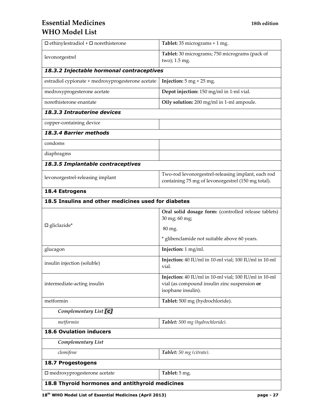| $\Box$ ethinylestradiol + $\Box$ norethisterone     | Tablet: 35 micrograms + 1 mg.                                                                                               |  |
|-----------------------------------------------------|-----------------------------------------------------------------------------------------------------------------------------|--|
| levonorgestrel                                      | Tablet: 30 micrograms; 750 micrograms (pack of<br>two); 1.5 mg.                                                             |  |
| 18.3.2 Injectable hormonal contraceptives           |                                                                                                                             |  |
| estradiol cypionate + medroxyprogesterone acetate   | Injection: $5 \text{ mg} + 25 \text{ mg}$ .                                                                                 |  |
| medroxyprogesterone acetate                         | Depot injection: 150 mg/ml in 1-ml vial.                                                                                    |  |
| norethisterone enantate                             | Oily solution: 200 mg/ml in 1-ml ampoule.                                                                                   |  |
| 18.3.3 Intrauterine devices                         |                                                                                                                             |  |
| copper-containing device                            |                                                                                                                             |  |
| 18.3.4 Barrier methods                              |                                                                                                                             |  |
| condoms                                             |                                                                                                                             |  |
| diaphragms                                          |                                                                                                                             |  |
| 18.3.5 Implantable contraceptives                   |                                                                                                                             |  |
| levonorgestrel-releasing implant                    | Two-rod levonorgestrel-releasing implant, each rod<br>containing 75 mg of levonorgestrel (150 mg total).                    |  |
| 18.4 Estrogens                                      |                                                                                                                             |  |
| 18.5 Insulins and other medicines used for diabetes |                                                                                                                             |  |
|                                                     | Oral solid dosage form: (controlled release tablets)<br>30 mg; 60 mg;                                                       |  |
| $\Box$ gliclazide*                                  | 80 mg.                                                                                                                      |  |
|                                                     | * glibenclamide not suitable above 60 years.                                                                                |  |
| glucagon                                            | Injection: 1 mg/ml.                                                                                                         |  |
| insulin injection (soluble)                         | Injection: 40 IU/ml in 10-ml vial; 100 IU/ml in 10-ml<br>vial.                                                              |  |
| intermediate-acting insulin                         | Injection: 40 IU/ml in 10-ml vial; 100 IU/ml in 10-ml<br>vial (as compound insulin zinc suspension or<br>isophane insulin). |  |
| metformin                                           | Tablet: 500 mg (hydrochloride).                                                                                             |  |
| Complementary List [c]                              |                                                                                                                             |  |
| metformin                                           | Tablet: 500 mg (hydrochloride).                                                                                             |  |
| <b>18.6 Ovulation inducers</b>                      |                                                                                                                             |  |
| Complementary List                                  |                                                                                                                             |  |
| clomifene                                           | Tablet: 50 mg (citrate).                                                                                                    |  |
| <b>18.7 Progestogens</b>                            |                                                                                                                             |  |
| $\square$ medroxyprogesterone acetate               | Tablet: 5 mg.                                                                                                               |  |
| 18.8 Thyroid hormones and antithyroid medicines     |                                                                                                                             |  |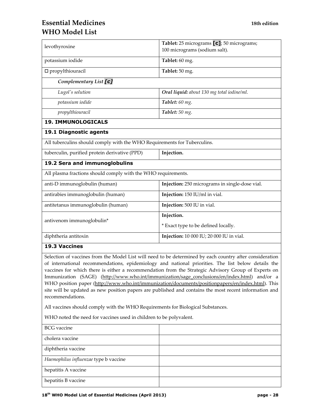| levothyroxine                                                                   | Tablet: 25 micrograms [c]; 50 micrograms;<br>100 micrograms (sodium salt).                                                                                                                                                                                                                                                                                                                                                                                                                                                                                                                                                            |
|---------------------------------------------------------------------------------|---------------------------------------------------------------------------------------------------------------------------------------------------------------------------------------------------------------------------------------------------------------------------------------------------------------------------------------------------------------------------------------------------------------------------------------------------------------------------------------------------------------------------------------------------------------------------------------------------------------------------------------|
| potassium iodide                                                                | Tablet: 60 mg.                                                                                                                                                                                                                                                                                                                                                                                                                                                                                                                                                                                                                        |
| $\square$ propylthiouracil                                                      | Tablet: 50 mg.                                                                                                                                                                                                                                                                                                                                                                                                                                                                                                                                                                                                                        |
| Complementary List [c]                                                          |                                                                                                                                                                                                                                                                                                                                                                                                                                                                                                                                                                                                                                       |
| Lugol's solution                                                                | Oral liquid: about 130 mg total iodine/ml.                                                                                                                                                                                                                                                                                                                                                                                                                                                                                                                                                                                            |
| potassium iodide                                                                | Tablet: 60 mg.                                                                                                                                                                                                                                                                                                                                                                                                                                                                                                                                                                                                                        |
| propylthiouracil                                                                | Tablet: 50 mg.                                                                                                                                                                                                                                                                                                                                                                                                                                                                                                                                                                                                                        |
| 19. IMMUNOLOGICALS                                                              |                                                                                                                                                                                                                                                                                                                                                                                                                                                                                                                                                                                                                                       |
| 19.1 Diagnostic agents                                                          |                                                                                                                                                                                                                                                                                                                                                                                                                                                                                                                                                                                                                                       |
| All tuberculins should comply with the WHO Requirements for Tuberculins.        |                                                                                                                                                                                                                                                                                                                                                                                                                                                                                                                                                                                                                                       |
| tuberculin, purified protein derivative (PPD)                                   | Injection.                                                                                                                                                                                                                                                                                                                                                                                                                                                                                                                                                                                                                            |
| 19.2 Sera and immunoglobulins                                                   |                                                                                                                                                                                                                                                                                                                                                                                                                                                                                                                                                                                                                                       |
| All plasma fractions should comply with the WHO requirements.                   |                                                                                                                                                                                                                                                                                                                                                                                                                                                                                                                                                                                                                                       |
| anti-D immunoglobulin (human)                                                   | Injection: 250 micrograms in single-dose vial.                                                                                                                                                                                                                                                                                                                                                                                                                                                                                                                                                                                        |
| antirabies immunoglobulin (human)                                               | Injection: 150 IU/ml in vial.                                                                                                                                                                                                                                                                                                                                                                                                                                                                                                                                                                                                         |
| antitetanus immunoglobulin (human)                                              | Injection: 500 IU in vial.                                                                                                                                                                                                                                                                                                                                                                                                                                                                                                                                                                                                            |
| antivenom immunoglobulin*                                                       | Injection.                                                                                                                                                                                                                                                                                                                                                                                                                                                                                                                                                                                                                            |
|                                                                                 | * Exact type to be defined locally.                                                                                                                                                                                                                                                                                                                                                                                                                                                                                                                                                                                                   |
| diphtheria antitoxin                                                            | Injection: 10 000 IU; 20 000 IU in vial.                                                                                                                                                                                                                                                                                                                                                                                                                                                                                                                                                                                              |
| <b>19.3 Vaccines</b>                                                            |                                                                                                                                                                                                                                                                                                                                                                                                                                                                                                                                                                                                                                       |
| recommendations.                                                                | Selection of vaccines from the Model List will need to be determined by each country after consideration<br>of international recommendations, epidemiology and national priorities. The list below details the<br>vaccines for which there is either a recommendation from the Strategic Advisory Group of Experts on<br>Immunization (SAGE) (http://www.who.int/immunization/sage_conclusions/en/index.html) and/or a<br>WHO position paper (http://www.who.int/immunization/documents/positionpapers/en/index.html). This<br>site will be updated as new position papers are published and contains the most recent information and |
| All vaccines should comply with the WHO Requirements for Biological Substances. |                                                                                                                                                                                                                                                                                                                                                                                                                                                                                                                                                                                                                                       |
| WHO noted the need for vaccines used in children to be polyvalent.              |                                                                                                                                                                                                                                                                                                                                                                                                                                                                                                                                                                                                                                       |
| <b>BCG</b> vaccine                                                              |                                                                                                                                                                                                                                                                                                                                                                                                                                                                                                                                                                                                                                       |
| cholera vaccine                                                                 |                                                                                                                                                                                                                                                                                                                                                                                                                                                                                                                                                                                                                                       |
| diphtheria vaccine                                                              |                                                                                                                                                                                                                                                                                                                                                                                                                                                                                                                                                                                                                                       |
| Haemophilus influenzae type b vaccine                                           |                                                                                                                                                                                                                                                                                                                                                                                                                                                                                                                                                                                                                                       |

hepatitis A vaccine hepatitis B vaccine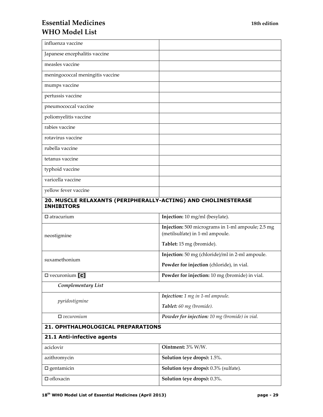| influenza vaccine                                                                  |                                                                                      |
|------------------------------------------------------------------------------------|--------------------------------------------------------------------------------------|
| Japanese encephalitis vaccine                                                      |                                                                                      |
| measles vaccine                                                                    |                                                                                      |
| meningococcal meningitis vaccine                                                   |                                                                                      |
| mumps vaccine                                                                      |                                                                                      |
| pertussis vaccine                                                                  |                                                                                      |
| pneumococcal vaccine                                                               |                                                                                      |
| poliomyelitis vaccine                                                              |                                                                                      |
| rabies vaccine                                                                     |                                                                                      |
| rotavirus vaccine                                                                  |                                                                                      |
| rubella vaccine                                                                    |                                                                                      |
| tetanus vaccine                                                                    |                                                                                      |
| typhoid vaccine                                                                    |                                                                                      |
| varicella vaccine                                                                  |                                                                                      |
| yellow fever vaccine                                                               |                                                                                      |
| 20. MUSCLE RELAXANTS (PERIPHERALLY-ACTING) AND CHOLINESTERASE<br><b>INHIBITORS</b> |                                                                                      |
|                                                                                    |                                                                                      |
| $\square$ atracurium                                                               | Injection: 10 mg/ml (besylate).                                                      |
| neostigmine                                                                        | Injection: 500 micrograms in 1-ml ampoule; 2.5 mg<br>(metilsulfate) in 1-ml ampoule. |
|                                                                                    | Tablet: 15 mg (bromide).                                                             |
|                                                                                    | Injection: 50 mg (chloride)/ml in 2-ml ampoule.                                      |
| suxamethonium                                                                      | Powder for injection (chloride), in vial.                                            |
| $\square$ vecuronium $\lceil c \rceil$                                             | Powder for injection: 10 mg (bromide) in vial.                                       |
| Complementary List                                                                 |                                                                                      |
|                                                                                    | Injection: 1 mg in 1-ml ampoule.                                                     |
| pyridostigmine                                                                     | Tablet: 60 mg (bromide).                                                             |
| $\Box$ vecuronium                                                                  | Powder for injection: 10 mg (bromide) in vial.                                       |
| 21. OPHTHALMOLOGICAL PREPARATIONS                                                  |                                                                                      |
| 21.1 Anti-infective agents                                                         |                                                                                      |
| aciclovir                                                                          | Ointment: 3% W/W.                                                                    |
| azithromycin                                                                       | Solution (eye drops): 1.5%.                                                          |
| $\square$ gentamicin                                                               | Solution (eye drops): 0.3% (sulfate).                                                |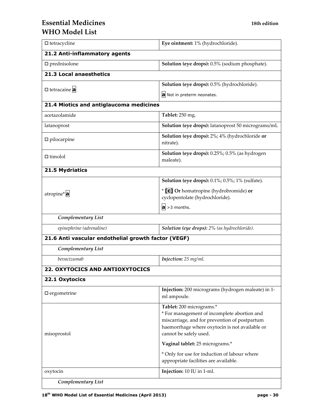| $\Box$ tetracycline                                 | Eye ointment: 1% (hydrochloride).                                                                                                                                                                    |
|-----------------------------------------------------|------------------------------------------------------------------------------------------------------------------------------------------------------------------------------------------------------|
| 21.2 Anti-inflammatory agents                       |                                                                                                                                                                                                      |
| $\square$ prednisolone                              | Solution (eye drops): 0.5% (sodium phosphate).                                                                                                                                                       |
| 21.3 Local anaesthetics                             |                                                                                                                                                                                                      |
|                                                     | Solution (eye drops): 0.5% (hydrochloride).                                                                                                                                                          |
| $\Box$ tetracaine a                                 | a Not in preterm neonates.                                                                                                                                                                           |
| 21.4 Miotics and antiglaucoma medicines             |                                                                                                                                                                                                      |
| acetazolamide                                       | Tablet: 250 mg.                                                                                                                                                                                      |
| latanoprost                                         | Solution (eye drops): latanoprost 50 micrograms/mL                                                                                                                                                   |
| $\square$ pilocarpine                               | Solution (eye drops): 2%; 4% (hydrochloride or<br>nitrate).                                                                                                                                          |
| $\Box$ timolol                                      | Solution (eye drops): 0.25%; 0.5% (as hydrogen<br>maleate).                                                                                                                                          |
| 21.5 Mydriatics                                     |                                                                                                                                                                                                      |
|                                                     | <b>Solution (eye drops):</b> 0.1%; 0.5%; 1% (sulfate).                                                                                                                                               |
| atropine*a                                          | * [c] Or homatropine (hydrobromide) or<br>cyclopentolate (hydrochloride).                                                                                                                            |
|                                                     | $a$ > 3 months.                                                                                                                                                                                      |
| <b>Complementary List</b>                           |                                                                                                                                                                                                      |
| epinephrine (adrenaline)                            | <b>Solution (eye drops):</b> 2% (as hydrochloride).                                                                                                                                                  |
| 21.6 Anti vascular endothelial growth factor (VEGF) |                                                                                                                                                                                                      |
| <b>Complementary List</b>                           |                                                                                                                                                                                                      |
| bevacizumab                                         | Injection: 25 mg/ml.                                                                                                                                                                                 |
| 22. OXYTOCICS AND ANTIOXYTOCICS                     |                                                                                                                                                                                                      |
| 22.1 Oxytocics                                      |                                                                                                                                                                                                      |
| $\square$ ergometrine                               | Injection: 200 micrograms (hydrogen maleate) in 1-<br>ml ampoule.                                                                                                                                    |
| misoprostol                                         | Tablet: 200 micrograms.*<br>* For management of incomplete abortion and<br>miscarriage, and for prevention of postpartum<br>haemorrhage where oxytocin is not available or<br>cannot be safely used. |
|                                                     | Vaginal tablet: 25 micrograms.*                                                                                                                                                                      |
|                                                     | * Only for use for induction of labour where<br>appropriate facilities are available.                                                                                                                |
| oxytocin                                            | Injection: 10 IU in 1-ml.                                                                                                                                                                            |
| Complementary List                                  |                                                                                                                                                                                                      |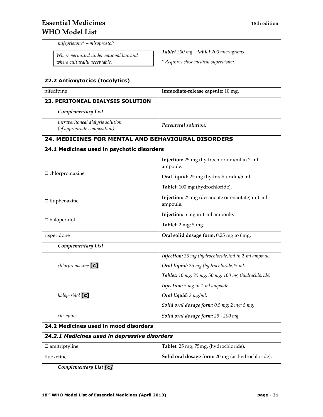| $miferristone*-misoprostol*$                                           |                                                              |
|------------------------------------------------------------------------|--------------------------------------------------------------|
|                                                                        | Tablet 200 mg – tablet 200 micrograms.                       |
| Where permitted under national law and<br>where culturally acceptable. | * Requires close medical supervision.                        |
|                                                                        |                                                              |
| 22.2 Antioxytocics (tocolytics)                                        |                                                              |
| nifedipine                                                             | Immediate-release capsule: 10 mg.                            |
| 23. PERITONEAL DIALYSIS SOLUTION                                       |                                                              |
| <b>Complementary List</b>                                              |                                                              |
| intraperitoneal dialysis solution<br>(of appropriate composition)      | Parenteral solution.                                         |
| 24. MEDICINES FOR MENTAL AND BEHAVIOURAL DISORDERS                     |                                                              |
| 24.1 Medicines used in psychotic disorders                             |                                                              |
|                                                                        | Injection: 25 mg (hydrochloride)/ml in 2-ml<br>ampoule.      |
| $\square$ chlorpromazine                                               | Oral liquid: 25 mg (hydrochloride)/5 ml.                     |
|                                                                        | Tablet: 100 mg (hydrochloride).                              |
| $\Box$ fluphenazine                                                    | Injection: 25 mg (decanoate or enantate) in 1-ml<br>ampoule. |
| $\Box$ haloperidol                                                     | Injection: 5 mg in 1-ml ampoule.                             |
|                                                                        | Tablet: 2 mg; 5 mg.                                          |
| risperidone                                                            | Oral solid dosage form: 0.25 mg to 6mg.                      |
| Complementary List                                                     |                                                              |
|                                                                        | Injection: 25 mg (hydrochloride)/ml in 2-ml ampoule.         |
| $chlorpromazine$ $[ c]$                                                | Oral liquid: 25 mg (hydrochloride)/5 ml.                     |
|                                                                        | Tablet: 10 mg; 25 mg; 50 mg; 100 mg (hydrochloride).         |
|                                                                        | Injection: 5 mg in 1-ml ampoule.                             |
| haloperidol $[c]$                                                      | Oral liquid: 2 mg/ml.                                        |
|                                                                        | Solid oral dosage form: 0.5 mg; 2 mg; 5 mg.                  |
| clozapine                                                              | Solid oral dosage form: 25 - 200 mg.                         |
| 24.2 Medicines used in mood disorders                                  |                                                              |
| 24.2.1 Medicines used in depressive disorders                          |                                                              |
| $\square$ amitriptyline                                                | Tablet: 25 mg; 75mg. (hydrochloride).                        |
| fluoxetine                                                             | Solid oral dosage form: 20 mg (as hydrochloride).            |
| Complementary List [c]                                                 |                                                              |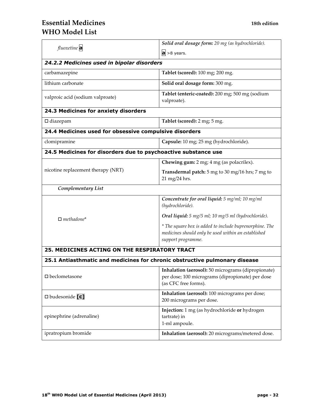| fluoxetine a                                                               | Solid oral dosage form: 20 mg (as hydrochloride).                                                                                    |  |
|----------------------------------------------------------------------------|--------------------------------------------------------------------------------------------------------------------------------------|--|
|                                                                            | $a > 8$ years.                                                                                                                       |  |
| 24.2.2 Medicines used in bipolar disorders                                 |                                                                                                                                      |  |
| carbamazepine                                                              | Tablet (scored): 100 mg; 200 mg.                                                                                                     |  |
| lithium carbonate                                                          | Solid oral dosage form: 300 mg.                                                                                                      |  |
| valproic acid (sodium valproate)                                           | Tablet (enteric-coated): 200 mg; 500 mg (sodium<br>valproate).                                                                       |  |
| 24.3 Medicines for anxiety disorders                                       |                                                                                                                                      |  |
| $\Box$ diazepam                                                            | Tablet (scored): 2 mg; 5 mg.                                                                                                         |  |
| 24.4 Medicines used for obsessive compulsive disorders                     |                                                                                                                                      |  |
| clomipramine                                                               | Capsule: 10 mg; 25 mg (hydrochloride).                                                                                               |  |
| 24.5 Medicines for disorders due to psychoactive substance use             |                                                                                                                                      |  |
| nicotine replacement therapy (NRT)                                         | Chewing gum: 2 mg; 4 mg (as polacrilex).                                                                                             |  |
|                                                                            | Transdermal patch: 5 mg to 30 mg/16 hrs; 7 mg to<br>21 mg/24 hrs.                                                                    |  |
| Complementary List                                                         |                                                                                                                                      |  |
|                                                                            | Concentrate for oral liquid: 5 mg/ml; 10 mg/ml<br>(hydrochloride).                                                                   |  |
| $\Box$ methadone*                                                          | Oral liquid: 5 mg/5 ml; 10 mg/5 ml (hydrochloride).                                                                                  |  |
|                                                                            | * The square box is added to include buprenorphine. The<br>medicines should only be used within an established<br>support programme. |  |
| 25. MEDICINES ACTING ON THE RESPIRATORY TRACT                              |                                                                                                                                      |  |
| 25.1 Antiasthmatic and medicines for chronic obstructive pulmonary disease |                                                                                                                                      |  |
| $\square$ beclometasone                                                    | Inhalation (aerosol): 50 micrograms (dipropionate)<br>per dose; 100 micrograms (dipropionate) per dose<br>(as CFC free forms).       |  |
| $\square$ budesonide $\lceil c \rceil$                                     | Inhalation (aerosol): 100 micrograms per dose;<br>200 micrograms per dose.                                                           |  |
| epinephrine (adrenaline)                                                   | Injection: 1 mg (as hydrochloride or hydrogen<br>tartrate) in<br>1-ml ampoule.                                                       |  |
| ipratropium bromide                                                        | Inhalation (aerosol): 20 micrograms/metered dose.                                                                                    |  |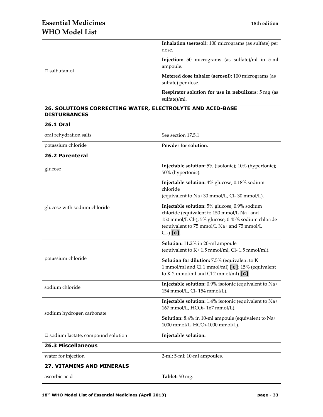|                   | Inhalation (aerosol): 100 micrograms (as sulfate) per<br>dose.           |
|-------------------|--------------------------------------------------------------------------|
|                   | Injection: 50 micrograms (as sulfate)/ml in 5-ml<br>ampoule.             |
| $\Box$ salbutamol | Metered dose inhaler (aerosol): 100 micrograms (as<br>sulfate) per dose. |
|                   | Respirator solution for use in nebulizers: 5 mg (as<br>sulfate)/ml.      |

#### **26. SOLUTIONS CORRECTING WATER, ELECTROLYTE AND ACID-BASE DISTURBANCES**

#### **26.1 Oral**

| oral rehydration salts              | See section 17.5.1.                                                                                                                                                                                                                |
|-------------------------------------|------------------------------------------------------------------------------------------------------------------------------------------------------------------------------------------------------------------------------------|
| potassium chloride                  | Powder for solution.                                                                                                                                                                                                               |
| 26.2 Parenteral                     |                                                                                                                                                                                                                                    |
| glucose                             | Injectable solution: 5% (isotonic); 10% (hypertonic);<br>50% (hypertonic).                                                                                                                                                         |
|                                     | Injectable solution: 4% glucose, 0.18% sodium<br>chloride<br>(equivalent to Na+30 mmol/L, Cl-30 mmol/L).                                                                                                                           |
| glucose with sodium chloride        | Injectable solution: 5% glucose, 0.9% sodium<br>chloride (equivalent to 150 mmol/L Na+ and<br>150 mmol/L Cl-); 5% glucose, 0.45% sodium chloride<br>(equivalent to 75 mmol/L Na+ and 75 mmol/L<br>$Cl2$ [c].                       |
| potassium chloride                  | Solution: 11.2% in 20-ml ampoule<br>(equivalent to K+1.5 mmol/ml, Cl-1.5 mmol/ml).<br>Solution for dilution: 7.5% (equivalent to K<br>1 mmol/ml and Cl 1 mmol/ml) [c]; 15% (equivalent<br>to K 2 mmol/ml and Cl 2 mmol/ml) $[c]$ . |
| sodium chloride                     | Injectable solution: 0.9% isotonic (equivalent to Na+<br>154 mmol/L, Cl- 154 mmol/L).                                                                                                                                              |
| sodium hydrogen carbonate           | Injectable solution: 1.4% isotonic (equivalent to Na+<br>167 mmol/L, HCO <sub>3</sub> -167 mmol/L).<br>Solution: 8.4% in 10-ml ampoule (equivalent to Na+<br>1000 mmol/L, HCO <sub>3</sub> -1000 mmol/L).                          |
| □ sodium lactate, compound solution | Injectable solution.                                                                                                                                                                                                               |
| <b>26.3 Miscellaneous</b>           |                                                                                                                                                                                                                                    |
| water for injection                 | 2-ml; 5-ml; 10-ml ampoules.                                                                                                                                                                                                        |
| <b>27. VITAMINS AND MINERALS</b>    |                                                                                                                                                                                                                                    |
| ascorbic acid                       | Tablet: 50 mg.                                                                                                                                                                                                                     |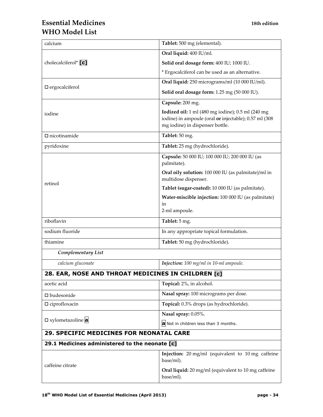| calcium                                            | Tablet: 500 mg (elemental).                                                                                                                   |  |
|----------------------------------------------------|-----------------------------------------------------------------------------------------------------------------------------------------------|--|
|                                                    | Oral liquid: 400 IU/ml.                                                                                                                       |  |
| cholecalciferol* [c]                               | Solid oral dosage form: 400 IU; 1000 IU.                                                                                                      |  |
|                                                    | * Ergocalciferol can be used as an alternative.                                                                                               |  |
| $\square$ ergocalciferol                           | Oral liquid: 250 micrograms/ml (10 000 IU/ml).                                                                                                |  |
|                                                    | Solid oral dosage form: 1.25 mg (50 000 IU).                                                                                                  |  |
|                                                    | Capsule: 200 mg.                                                                                                                              |  |
| iodine                                             | Iodized oil: 1 ml (480 mg iodine); 0.5 ml (240 mg<br>iodine) in ampoule (oral or injectable); 0.57 ml (308<br>mg iodine) in dispenser bottle. |  |
| $\square$ nicotinamide                             | Tablet: 50 mg.                                                                                                                                |  |
| pyridoxine                                         | Tablet: 25 mg (hydrochloride).                                                                                                                |  |
|                                                    | Capsule: 50 000 IU; 100 000 IU; 200 000 IU (as<br>palmitate).                                                                                 |  |
| retinol                                            | Oral oily solution: 100 000 IU (as palmitate)/ml in<br>multidose dispenser.                                                                   |  |
|                                                    | Tablet (sugar-coated): 10 000 IU (as palmitate).                                                                                              |  |
|                                                    | Water-miscible injection: 100 000 IU (as palmitate)<br>in                                                                                     |  |
|                                                    | 2-ml ampoule.                                                                                                                                 |  |
| riboflavin                                         | Tablet: 5 mg.                                                                                                                                 |  |
| sodium fluoride                                    | In any appropriate topical formulation.                                                                                                       |  |
| thiamine                                           | Tablet: 50 mg (hydrochloride).                                                                                                                |  |
| <b>Complementary List</b>                          |                                                                                                                                               |  |
| calcium gluconate                                  | Injection: 100 mg/ml in 10-ml ampoule.                                                                                                        |  |
| 28. EAR, NOSE AND THROAT MEDICINES IN CHILDREN [c] |                                                                                                                                               |  |
| acetic acid                                        | Topical: 2%, in alcohol.                                                                                                                      |  |
| $\square$ budesonide                               | Nasal spray: 100 micrograms per dose.                                                                                                         |  |
| $\Box$ ciprofloxacin                               | Topical: 0.3% drops (as hydrochloride).                                                                                                       |  |
| $\Box$ xylometazoline <b>a</b>                     | Nasal spray: 0.05%.                                                                                                                           |  |
|                                                    | a Not in children less than 3 months.                                                                                                         |  |
| 29. SPECIFIC MEDICINES FOR NEONATAL CARE           |                                                                                                                                               |  |
| 29.1 Medicines administered to the neonate [c]     |                                                                                                                                               |  |
| caffeine citrate                                   | Injection: 20 mg/ml (equivalent to 10 mg caffeine<br>base/ml).                                                                                |  |
|                                                    | Oral liquid: 20 mg/ml (equivalent to 10 mg caffeine<br>base/ml).                                                                              |  |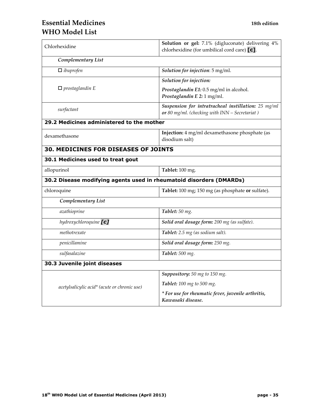| Chlorhexidine                                                       | Solution or gel: 7.1% (digluconate) delivering 4%<br>chlorhexidine (for umbilical cord care) [c].       |  |
|---------------------------------------------------------------------|---------------------------------------------------------------------------------------------------------|--|
| Complementary List                                                  |                                                                                                         |  |
| $\Box$ ibuprofen                                                    | Solution for injection: 5 mg/ml.                                                                        |  |
|                                                                     | Solution for injection:                                                                                 |  |
| $\Box$ prostaglandin E                                              | Prostaglandin E1: 0.5 mg/ml in alcohol.<br>Prostaglandin E 2: 1 mg/ml.                                  |  |
| surfactant                                                          | Suspension for intratracheal instillation: 25 mg/ml<br>or 80 mg/ml. (checking with $INN -$ Secretariat) |  |
| 29.2 Medicines administered to the mother                           |                                                                                                         |  |
| dexamethasone                                                       | Injection: 4 mg/ml dexamethasone phosphate (as<br>disodium salt)                                        |  |
| <b>30. MEDICINES FOR DISEASES OF JOINTS</b>                         |                                                                                                         |  |
| 30.1 Medicines used to treat gout                                   |                                                                                                         |  |
| allopurinol                                                         | Tablet: 100 mg.                                                                                         |  |
| 30.2 Disease modifying agents used in rheumatoid disorders (DMARDs) |                                                                                                         |  |
| chloroquine                                                         | Tablet: 100 mg; 150 mg (as phosphate or sulfate).                                                       |  |
| Complementary List                                                  |                                                                                                         |  |
| azathioprine                                                        | Tablet: 50 mg.                                                                                          |  |
| hydroxychloroquine $[c]$                                            | Solid oral dosage form: 200 mg (as sulfate).                                                            |  |
| methotrexate                                                        | Tablet: 2.5 mg (as sodium salt).                                                                        |  |
| penicillamine                                                       | Solid oral dosage form: 250 mg.                                                                         |  |
| sulfasalazine                                                       | Tablet: 500 mg.                                                                                         |  |
| 30.3 Juvenile joint diseases                                        |                                                                                                         |  |
|                                                                     | Suppository: 50 mg to 150 mg.                                                                           |  |
| acetylsalicylic acid* (acute or chronic use)                        | Tablet: 100 mg to 500 mg.                                                                               |  |
|                                                                     | * For use for rheumatic fever, juvenile arthritis,<br>Kawasaki disease.                                 |  |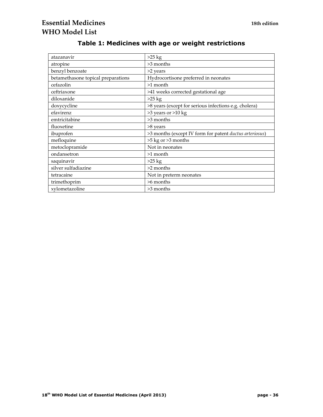| atazanavir                         | $>25$ kg                                                |
|------------------------------------|---------------------------------------------------------|
| atropine                           | >3 months                                               |
| benzyl benzoate                    | >2 years                                                |
| betamethasone topical preparations | Hydrocortisone preferred in neonates                    |
| cefazolin                          | $>1$ month                                              |
| ceftriaxone                        | >41 weeks corrected gestational age                     |
| diloxanide                         | $>25$ kg                                                |
| doxycycline                        | >8 years (except for serious infections e.g. cholera)   |
| efavirenz                          | >3 years or >10 kg                                      |
| emtricitabine                      | $>3$ months                                             |
| fluoxetine                         | >8 years                                                |
| ibuprofen                          | >3 months (except IV form for patent ductus arteriosus) |
| mefloquine                         | >5 kg or >3 months                                      |
| metoclopramide                     | Not in neonates                                         |
| ondansetron                        | $>1$ month                                              |
| saquinavir                         | $>25$ kg                                                |
| silver sulfadiazine                | $>2$ months                                             |
| tetracaine                         | Not in preterm neonates                                 |
| trimethoprim                       | >6 months                                               |
| xylometazoline                     | $>3$ months                                             |

#### **Table 1: Medicines with age or weight restrictions**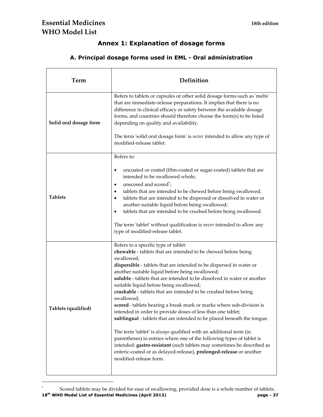#### **Annex 1: Explanation of dosage forms**

| <b>Term</b>            | Definition                                                                                                                                                                                                                                                                                                                                                                                                                                                                                                                                                                                                                                                                                                                                                                                                                                                                                                                                                                                               |
|------------------------|----------------------------------------------------------------------------------------------------------------------------------------------------------------------------------------------------------------------------------------------------------------------------------------------------------------------------------------------------------------------------------------------------------------------------------------------------------------------------------------------------------------------------------------------------------------------------------------------------------------------------------------------------------------------------------------------------------------------------------------------------------------------------------------------------------------------------------------------------------------------------------------------------------------------------------------------------------------------------------------------------------|
| Solid oral dosage form | Refers to tablets or capsules or other solid dosage forms such as 'melts'<br>that are immediate-release preparations. It implies that there is no<br>difference in clinical efficacy or safety between the available dosage<br>forms, and countries should therefore choose the form(s) to be listed<br>depending on quality and availability.<br>The term 'solid oral dosage form' is <i>never</i> intended to allow any type of<br>modified-release tablet.                                                                                                                                                                                                                                                                                                                                                                                                                                                                                                                                            |
| <b>Tablets</b>         | Refers to:<br>uncoated or coated (film-coated or sugar-coated) tablets that are<br>٠<br>intended to be swallowed whole;<br>unscored and scored <sup>*</sup> ;<br>٠<br>tablets that are intended to be chewed before being swallowed;<br>٠<br>tablets that are intended to be dispersed or dissolved in water or<br>٠<br>another suitable liquid before being swallowed;<br>tablets that are intended to be crushed before being swallowed.<br>٠<br>The term 'tablet' without qualification is <i>never</i> intended to allow any<br>type of modified-release tablet.                                                                                                                                                                                                                                                                                                                                                                                                                                     |
| Tablets (qualified)    | Refers to a specific type of tablet:<br>chewable - tablets that are intended to be chewed before being<br>swallowed;<br>dispersible - tablets that are intended to be dispersed in water or<br>another suitable liquid before being swallowed;<br>soluble - tablets that are intended to be dissolved in water or another<br>suitable liquid before being swallowed;<br>crushable - tablets that are intended to be crushed before being<br>swallowed;<br>scored - tablets bearing a break mark or marks where sub-division is<br>intended in order to provide doses of less than one tablet;<br>sublingual - tablets that are intended to be placed beneath the tongue.<br>The term 'tablet' is <i>always</i> qualified with an additional term (in<br>parentheses) in entries where one of the following types of tablet is<br>intended: gastro-resistant (such tablets may sometimes be described as<br>enteric-coated or as delayed-release), prolonged-release or another<br>modified-release form. |

#### **A. Principal dosage forms used in EML - Oral administration**

**<sup>18</sup>th WHO Model List of Essential Medicines (April 2013) page - 37**  \* Scored tablets may be divided for ease of swallowing, provided dose is a whole number of tablets.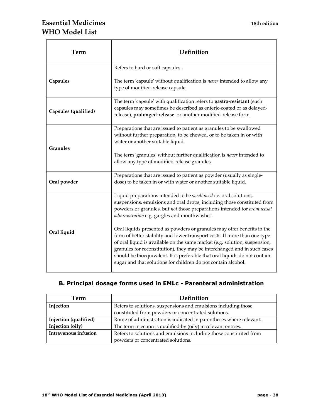| Term                 | Definition                                                                                                                                                                                                                                                                                                                                                                                                                                                                                                                                                                                                                                                                                                                               |
|----------------------|------------------------------------------------------------------------------------------------------------------------------------------------------------------------------------------------------------------------------------------------------------------------------------------------------------------------------------------------------------------------------------------------------------------------------------------------------------------------------------------------------------------------------------------------------------------------------------------------------------------------------------------------------------------------------------------------------------------------------------------|
| Capsules             | Refers to hard or soft capsules.<br>The term 'capsule' without qualification is <i>never</i> intended to allow any<br>type of modified-release capsule.                                                                                                                                                                                                                                                                                                                                                                                                                                                                                                                                                                                  |
| Capsules (qualified) | The term 'capsule' with qualification refers to gastro-resistant (such<br>capsules may sometimes be described as enteric-coated or as delayed-<br>release), prolonged-release or another modified-release form.                                                                                                                                                                                                                                                                                                                                                                                                                                                                                                                          |
| Granules             | Preparations that are issued to patient as granules to be swallowed<br>without further preparation, to be chewed, or to be taken in or with<br>water or another suitable liquid.<br>The term 'granules' without further qualification is never intended to<br>allow any type of modified-release granules.                                                                                                                                                                                                                                                                                                                                                                                                                               |
| Oral powder          | Preparations that are issued to patient as powder (usually as single-<br>dose) to be taken in or with water or another suitable liquid.                                                                                                                                                                                                                                                                                                                                                                                                                                                                                                                                                                                                  |
| Oral liquid          | Liquid preparations intended to be swallowed i.e. oral solutions,<br>suspensions, emulsions and oral drops, including those constituted from<br>powders or granules, but not those preparations intended for oromucosal<br>administration e.g. gargles and mouthwashes.<br>Oral liquids presented as powders or granules may offer benefits in the<br>form of better stability and lower transport costs. If more than one type<br>of oral liquid is available on the same market (e.g. solution, suspension,<br>granules for reconstitution), they may be interchanged and in such cases<br>should be bioequivalent. It is preferable that oral liquids do not contain<br>sugar and that solutions for children do not contain alcohol. |

#### **B. Principal dosage forms used in EMLc - Parenteral administration**

| Term                  | Definition                                                          |  |
|-----------------------|---------------------------------------------------------------------|--|
| Injection             | Refers to solutions, suspensions and emulsions including those      |  |
|                       | constituted from powders or concentrated solutions.                 |  |
| Injection (qualified) | Route of administration is indicated in parentheses where relevant. |  |
| Injection (oily)      | The term injection is qualified by (oily) in relevant entries.      |  |
| Intravenous infusion  | Refers to solutions and emulsions including those constituted from  |  |
|                       | powders or concentrated solutions.                                  |  |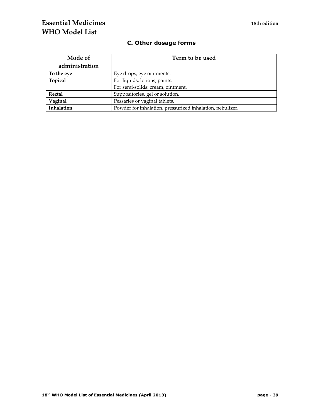#### **C. Other dosage forms**

| Mode of        | Term to be used                                           |  |
|----------------|-----------------------------------------------------------|--|
| administration |                                                           |  |
| To the eye     | Eye drops, eye ointments.                                 |  |
| Topical        | For liquids: lotions, paints.                             |  |
|                | For semi-solids: cream, ointment.                         |  |
| Rectal         | Suppositories, gel or solution.                           |  |
| Vaginal        | Pessaries or vaginal tablets.                             |  |
| Inhalation     | Powder for inhalation, pressurized inhalation, nebulizer. |  |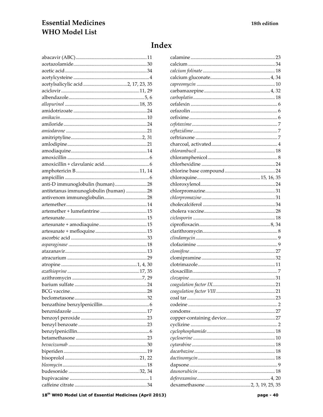## **Essential Medicines WHO Model List**

## Index

| anti-D immunoglobulin (human)28       |  |
|---------------------------------------|--|
| antitetanus immunoglobulin (human) 28 |  |
|                                       |  |
|                                       |  |
|                                       |  |
|                                       |  |
|                                       |  |
|                                       |  |
|                                       |  |
|                                       |  |
|                                       |  |
|                                       |  |
|                                       |  |
|                                       |  |
|                                       |  |
|                                       |  |
|                                       |  |
|                                       |  |
|                                       |  |
|                                       |  |
|                                       |  |
|                                       |  |
|                                       |  |
|                                       |  |
|                                       |  |
|                                       |  |
|                                       |  |
|                                       |  |
|                                       |  |
|                                       |  |
|                                       |  |
|                                       |  |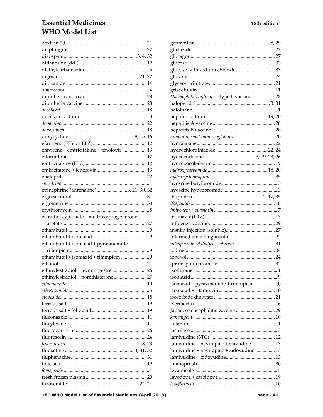## **Essential Medicines WHO Model List**

| efavirenz + emtricitabine + tenofovir 13  |  |
|-------------------------------------------|--|
|                                           |  |
|                                           |  |
|                                           |  |
|                                           |  |
|                                           |  |
| epinephrine (adrenaline)3, 21, 30, 32     |  |
|                                           |  |
|                                           |  |
|                                           |  |
| estradiol cypionate + medroxyprogesterone |  |
|                                           |  |
|                                           |  |
|                                           |  |
| ethambutol + isoniazid + pyrazinamide +   |  |
|                                           |  |
|                                           |  |
|                                           |  |
| ethinylestradiol + levonorgestrel 26      |  |
| ethinylestradiol + norethisterone27       |  |
|                                           |  |
|                                           |  |
|                                           |  |
|                                           |  |
|                                           |  |
|                                           |  |
|                                           |  |
|                                           |  |
|                                           |  |
|                                           |  |
|                                           |  |
|                                           |  |
|                                           |  |
|                                           |  |
|                                           |  |
|                                           |  |
|                                           |  |

| Haemophilus influenzae type b vaccine 28 |  |
|------------------------------------------|--|
|                                          |  |
|                                          |  |
|                                          |  |
|                                          |  |
|                                          |  |
|                                          |  |
|                                          |  |
|                                          |  |
|                                          |  |
|                                          |  |
|                                          |  |
|                                          |  |
|                                          |  |
|                                          |  |
|                                          |  |
|                                          |  |
|                                          |  |
|                                          |  |
|                                          |  |
|                                          |  |
|                                          |  |
|                                          |  |
|                                          |  |
|                                          |  |
|                                          |  |
|                                          |  |
|                                          |  |
| isoniazid 9                              |  |
| isoniazid + pyrazinamide + rifampicin 10 |  |
|                                          |  |
|                                          |  |
|                                          |  |
| Japanese encephalitis vaccine  29        |  |
|                                          |  |
|                                          |  |
|                                          |  |
|                                          |  |
| lamivudine + nevirapine + stavudine  13  |  |
| lamivudine + nevirapine + zidovudine  13 |  |
|                                          |  |
|                                          |  |
|                                          |  |
|                                          |  |
|                                          |  |
|                                          |  |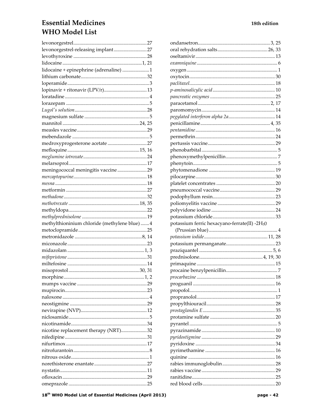## **Essential Medicines WHO Model List**

| levonorgestrel-releasing implant27            |  |
|-----------------------------------------------|--|
|                                               |  |
|                                               |  |
| lidocaine + epinephrine (adrenaline) 1        |  |
|                                               |  |
|                                               |  |
|                                               |  |
|                                               |  |
|                                               |  |
|                                               |  |
|                                               |  |
|                                               |  |
|                                               |  |
|                                               |  |
|                                               |  |
|                                               |  |
|                                               |  |
|                                               |  |
| meningococcal meningitis vaccine29            |  |
|                                               |  |
|                                               |  |
|                                               |  |
|                                               |  |
|                                               |  |
|                                               |  |
|                                               |  |
|                                               |  |
|                                               |  |
| methylthioninium chloride (methylene blue)  4 |  |
|                                               |  |
|                                               |  |
|                                               |  |
|                                               |  |
|                                               |  |
|                                               |  |
|                                               |  |
|                                               |  |
|                                               |  |
|                                               |  |
|                                               |  |
|                                               |  |
|                                               |  |
|                                               |  |
|                                               |  |
| nicotine replacement therapy (NRT)32          |  |
|                                               |  |
|                                               |  |
|                                               |  |
|                                               |  |
|                                               |  |
|                                               |  |
|                                               |  |

| potassium ferric hexacyano-ferrate(II) -2H20 |  |
|----------------------------------------------|--|
|                                              |  |
|                                              |  |
|                                              |  |
|                                              |  |
|                                              |  |
|                                              |  |
|                                              |  |
|                                              |  |
|                                              |  |
|                                              |  |
|                                              |  |
|                                              |  |
|                                              |  |
|                                              |  |
|                                              |  |
|                                              |  |
|                                              |  |
|                                              |  |
|                                              |  |
|                                              |  |
|                                              |  |
|                                              |  |
|                                              |  |